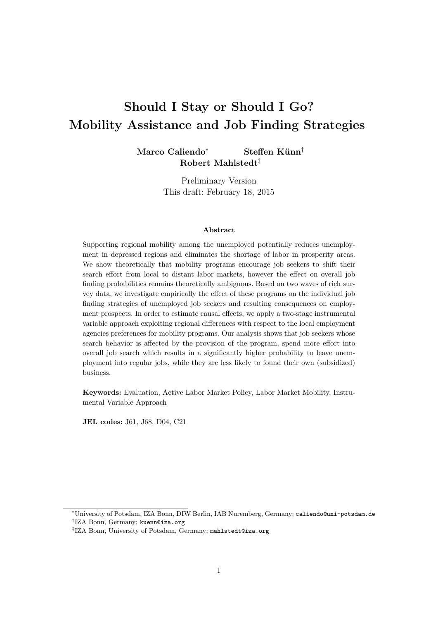# Should I Stay or Should I Go? Mobility Assistance and Job Finding Strategies

Marco Caliendo<sup>∗</sup> Steffen Künn<sup>†</sup> Robert Mahlstedt‡

> Preliminary Version This draft: February 18, 2015

#### Abstract

Supporting regional mobility among the unemployed potentially reduces unemployment in depressed regions and eliminates the shortage of labor in prosperity areas. We show theoretically that mobility programs encourage job seekers to shift their search effort from local to distant labor markets, however the effect on overall job finding probabilities remains theoretically ambiguous. Based on two waves of rich survey data, we investigate empirically the effect of these programs on the individual job finding strategies of unemployed job seekers and resulting consequences on employment prospects. In order to estimate causal effects, we apply a two-stage instrumental variable approach exploiting regional differences with respect to the local employment agencies preferences for mobility programs. Our analysis shows that job seekers whose search behavior is affected by the provision of the program, spend more effort into overall job search which results in a significantly higher probability to leave unemployment into regular jobs, while they are less likely to found their own (subsidized) business.

Keywords: Evaluation, Active Labor Market Policy, Labor Market Mobility, Instrumental Variable Approach

JEL codes: J61, J68, D04, C21

<sup>∗</sup>University of Potsdam, IZA Bonn, DIW Berlin, IAB Nuremberg, Germany; caliendo@uni-potsdam.de † IZA Bonn, Germany; kuenn@iza.org

<sup>‡</sup> IZA Bonn, University of Potsdam, Germany; mahlstedt@iza.org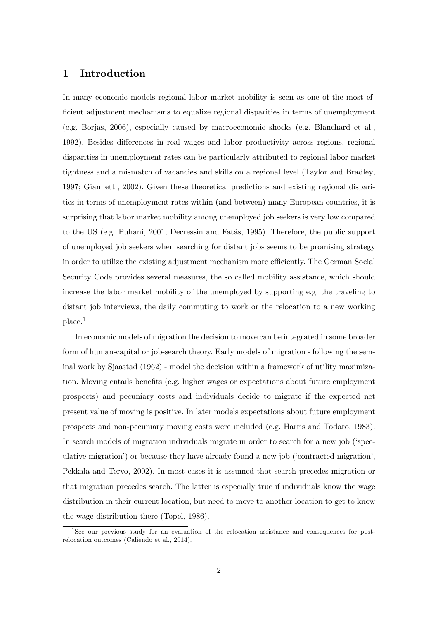## 1 Introduction

In many economic models regional labor market mobility is seen as one of the most efficient adjustment mechanisms to equalize regional disparities in terms of unemployment (e.g. Borjas, 2006), especially caused by macroeconomic shocks (e.g. Blanchard et al., 1992). Besides differences in real wages and labor productivity across regions, regional disparities in unemployment rates can be particularly attributed to regional labor market tightness and a mismatch of vacancies and skills on a regional level (Taylor and Bradley, 1997; Giannetti, 2002). Given these theoretical predictions and existing regional disparities in terms of unemployment rates within (and between) many European countries, it is surprising that labor market mobility among unemployed job seekers is very low compared to the US (e.g. Puhani, 2001; Decressin and Fatás, 1995). Therefore, the public support of unemployed job seekers when searching for distant jobs seems to be promising strategy in order to utilize the existing adjustment mechanism more efficiently. The German Social Security Code provides several measures, the so called mobility assistance, which should increase the labor market mobility of the unemployed by supporting e.g. the traveling to distant job interviews, the daily commuting to work or the relocation to a new working place.<sup>1</sup>

In economic models of migration the decision to move can be integrated in some broader form of human-capital or job-search theory. Early models of migration - following the seminal work by Sjaastad (1962) - model the decision within a framework of utility maximization. Moving entails benefits (e.g. higher wages or expectations about future employment prospects) and pecuniary costs and individuals decide to migrate if the expected net present value of moving is positive. In later models expectations about future employment prospects and non-pecuniary moving costs were included (e.g. Harris and Todaro, 1983). In search models of migration individuals migrate in order to search for a new job ('speculative migration') or because they have already found a new job ('contracted migration', Pekkala and Tervo, 2002). In most cases it is assumed that search precedes migration or that migration precedes search. The latter is especially true if individuals know the wage distribution in their current location, but need to move to another location to get to know the wage distribution there (Topel, 1986).

<sup>1</sup>See our previous study for an evaluation of the relocation assistance and consequences for postrelocation outcomes (Caliendo et al., 2014).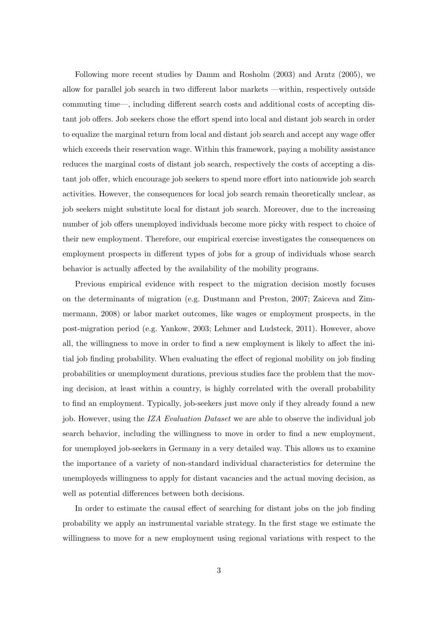Following more recent studies by Damm and Rosholm (2003) and Arntz (2005), we allow for parallel job search in two different labor markets —within, respectively outside commuting time—, including different search costs and additional costs of accepting distant job offers. Job seekers chose the effort spend into local and distant job search in order to equalize the marginal return from local and distant job search and accept any wage offer which exceeds their reservation wage. Within this framework, paying a mobility assistance reduces the marginal costs of distant job search, respectively the costs of accepting a distant job offer, which encourage job seekers to spend more effort into nationwide job search activities. However, the consequences for local job search remain theoretically unclear, as job seekers might substitute local for distant job search. Moreover, due to the increasing number of job offers unemployed individuals become more picky with respect to choice of their new employment. Therefore, our empirical exercise investigates the consequences on employment prospects in different types of jobs for a group of individuals whose search behavior is actually affected by the availability of the mobility programs.

Previous empirical evidence with respect to the migration decision mostly focuses on the determinants of migration (e.g. Dustmann and Preston, 2007; Zaiceva and Zimmermann, 2008) or labor market outcomes, like wages or employment prospects, in the post-migration period (e.g. Yankow, 2003; Lehmer and Ludsteck, 2011). However, above all, the willingness to move in order to find a new employment is likely to affect the initial job finding probability. When evaluating the effect of regional mobility on job finding probabilities or unemployment durations, previous studies face the problem that the moving decision, at least within a country, is highly correlated with the overall probability to find an employment. Typically, job-seekers just move only if they already found a new job. However, using the IZA Evaluation Dataset we are able to observe the individual job search behavior, including the willingness to move in order to find a new employment, for unemployed job-seekers in Germany in a very detailed way. This allows us to examine the importance of a variety of non-standard individual characteristics for determine the unemployeds willingness to apply for distant vacancies and the actual moving decision, as well as potential differences between both decisions.

In order to estimate the causal effect of searching for distant jobs on the job finding probability we apply an instrumental variable strategy. In the first stage we estimate the willingness to move for a new employment using regional variations with respect to the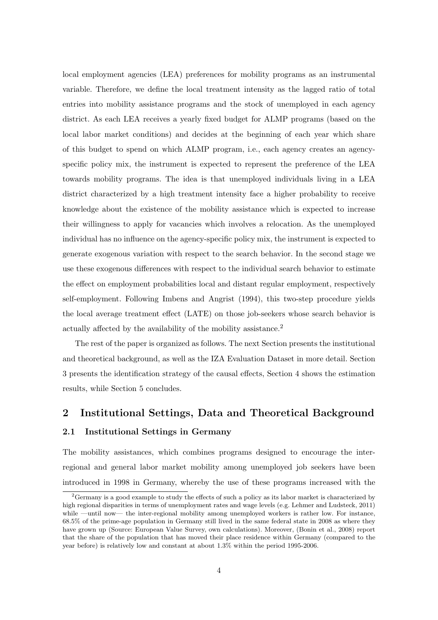local employment agencies (LEA) preferences for mobility programs as an instrumental variable. Therefore, we define the local treatment intensity as the lagged ratio of total entries into mobility assistance programs and the stock of unemployed in each agency district. As each LEA receives a yearly fixed budget for ALMP programs (based on the local labor market conditions) and decides at the beginning of each year which share of this budget to spend on which ALMP program, i.e., each agency creates an agencyspecific policy mix, the instrument is expected to represent the preference of the LEA towards mobility programs. The idea is that unemployed individuals living in a LEA district characterized by a high treatment intensity face a higher probability to receive knowledge about the existence of the mobility assistance which is expected to increase their willingness to apply for vacancies which involves a relocation. As the unemployed individual has no influence on the agency-specific policy mix, the instrument is expected to generate exogenous variation with respect to the search behavior. In the second stage we use these exogenous differences with respect to the individual search behavior to estimate the effect on employment probabilities local and distant regular employment, respectively self-employment. Following Imbens and Angrist (1994), this two-step procedure yields the local average treatment effect (LATE) on those job-seekers whose search behavior is actually affected by the availability of the mobility assistance.<sup>2</sup>

The rest of the paper is organized as follows. The next Section presents the institutional and theoretical background, as well as the IZA Evaluation Dataset in more detail. Section 3 presents the identification strategy of the causal effects, Section 4 shows the estimation results, while Section 5 concludes.

# 2 Institutional Settings, Data and Theoretical Background 2.1 Institutional Settings in Germany

The mobility assistances, which combines programs designed to encourage the interregional and general labor market mobility among unemployed job seekers have been introduced in 1998 in Germany, whereby the use of these programs increased with the

<sup>&</sup>lt;sup>2</sup>Germany is a good example to study the effects of such a policy as its labor market is characterized by high regional disparities in terms of unemployment rates and wage levels (e.g. Lehmer and Ludsteck, 2011) while —until now— the inter-regional mobility among unemployed workers is rather low. For instance, 68.5% of the prime-age population in Germany still lived in the same federal state in 2008 as where they have grown up (Source: European Value Survey, own calculations). Moreover, (Bonin et al., 2008) report that the share of the population that has moved their place residence within Germany (compared to the year before) is relatively low and constant at about 1.3% within the period 1995-2006.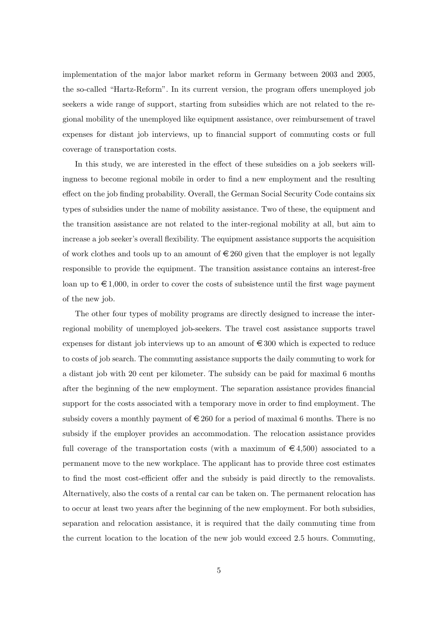implementation of the major labor market reform in Germany between 2003 and 2005, the so-called "Hartz-Reform". In its current version, the program offers unemployed job seekers a wide range of support, starting from subsidies which are not related to the regional mobility of the unemployed like equipment assistance, over reimbursement of travel expenses for distant job interviews, up to financial support of commuting costs or full coverage of transportation costs.

In this study, we are interested in the effect of these subsidies on a job seekers willingness to become regional mobile in order to find a new employment and the resulting effect on the job finding probability. Overall, the German Social Security Code contains six types of subsidies under the name of mobility assistance. Two of these, the equipment and the transition assistance are not related to the inter-regional mobility at all, but aim to increase a job seeker's overall flexibility. The equipment assistance supports the acquisition of work clothes and tools up to an amount of  $\epsilon \leq 260$  given that the employer is not legally responsible to provide the equipment. The transition assistance contains an interest-free loan up to  $\epsilon$  1,000, in order to cover the costs of subsistence until the first wage payment of the new job.

The other four types of mobility programs are directly designed to increase the interregional mobility of unemployed job-seekers. The travel cost assistance supports travel expenses for distant job interviews up to an amount of  $\epsilon$  300 which is expected to reduce to costs of job search. The commuting assistance supports the daily commuting to work for a distant job with 20 cent per kilometer. The subsidy can be paid for maximal 6 months after the beginning of the new employment. The separation assistance provides financial support for the costs associated with a temporary move in order to find employment. The subsidy covers a monthly payment of  $\epsilon \leq 260$  for a period of maximal 6 months. There is no subsidy if the employer provides an accommodation. The relocation assistance provides full coverage of the transportation costs (with a maximum of  $\epsilon$ 4,500) associated to a permanent move to the new workplace. The applicant has to provide three cost estimates to find the most cost-efficient offer and the subsidy is paid directly to the removalists. Alternatively, also the costs of a rental car can be taken on. The permanent relocation has to occur at least two years after the beginning of the new employment. For both subsidies, separation and relocation assistance, it is required that the daily commuting time from the current location to the location of the new job would exceed 2.5 hours. Commuting,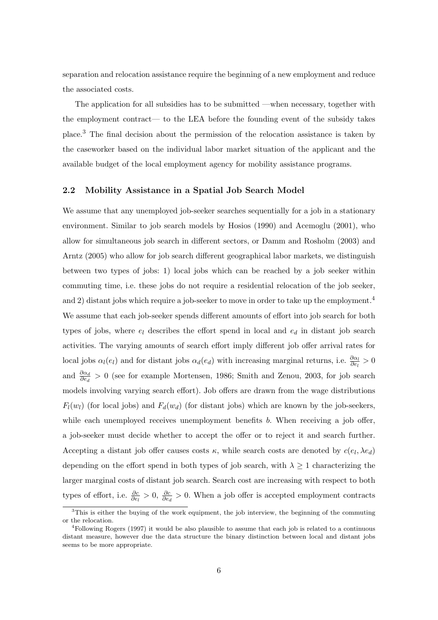separation and relocation assistance require the beginning of a new employment and reduce the associated costs.

The application for all subsidies has to be submitted —when necessary, together with the employment contract— to the LEA before the founding event of the subsidy takes place.<sup>3</sup> The final decision about the permission of the relocation assistance is taken by the caseworker based on the individual labor market situation of the applicant and the available budget of the local employment agency for mobility assistance programs.

#### 2.2 Mobility Assistance in a Spatial Job Search Model

We assume that any unemployed job-seeker searches sequentially for a job in a stationary environment. Similar to job search models by Hosios (1990) and Acemoglu (2001), who allow for simultaneous job search in different sectors, or Damm and Rosholm (2003) and Arntz (2005) who allow for job search different geographical labor markets, we distinguish between two types of jobs: 1) local jobs which can be reached by a job seeker within commuting time, i.e. these jobs do not require a residential relocation of the job seeker, and 2) distant jobs which require a job-seeker to move in order to take up the employment.<sup>4</sup> We assume that each job-seeker spends different amounts of effort into job search for both types of jobs, where  $e_l$  describes the effort spend in local and  $e_d$  in distant job search activities. The varying amounts of search effort imply different job offer arrival rates for local jobs  $\alpha_l(e_l)$  and for distant jobs  $\alpha_d(e_d)$  with increasing marginal returns, i.e.  $\frac{\partial \alpha_l}{\partial e_l} > 0$ and  $\frac{\partial \alpha_d}{\partial e_d} > 0$  (see for example Mortensen, 1986; Smith and Zenou, 2003, for job search models involving varying search effort). Job offers are drawn from the wage distributions  $F_l(w_l)$  (for local jobs) and  $F_d(w_d)$  (for distant jobs) which are known by the job-seekers, while each unemployed receives unemployment benefits b. When receiving a job offer, a job-seeker must decide whether to accept the offer or to reject it and search further. Accepting a distant job offer causes costs  $\kappa$ , while search costs are denoted by  $c(e_l, \lambda e_d)$ depending on the effort spend in both types of job search, with  $\lambda \geq 1$  characterizing the larger marginal costs of distant job search. Search cost are increasing with respect to both types of effort, i.e.  $\frac{\partial c}{\partial e_l} > 0$ ,  $\frac{\partial c}{\partial e_d} > 0$ . When a job offer is accepted employment contracts

 $3$ This is either the buying of the work equipment, the job interview, the beginning of the commuting or the relocation.

<sup>4</sup>Following Rogers (1997) it would be also plausible to assume that each job is related to a continuous distant measure, however due the data structure the binary distinction between local and distant jobs seems to be more appropriate.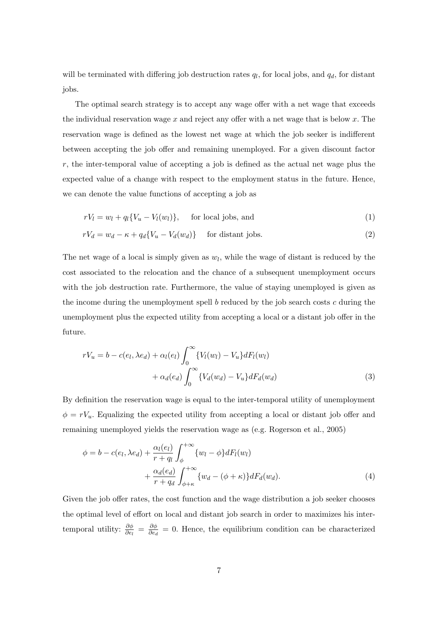will be terminated with differing job destruction rates  $q_l$ , for local jobs, and  $q_d$ , for distant jobs.

The optimal search strategy is to accept any wage offer with a net wage that exceeds the individual reservation wage x and reject any offer with a net wage that is below x. The reservation wage is defined as the lowest net wage at which the job seeker is indifferent between accepting the job offer and remaining unemployed. For a given discount factor  $r$ , the inter-temporal value of accepting a job is defined as the actual net wage plus the expected value of a change with respect to the employment status in the future. Hence, we can denote the value functions of accepting a job as

$$
rV_l = w_l + q_l \{V_u - V_l(w_l)\}, \quad \text{for local jobs, and} \tag{1}
$$

$$
rV_d = w_d - \kappa + q_d \{ V_u - V_d(w_d) \} \quad \text{for distant jobs.} \tag{2}
$$

The net wage of a local is simply given as  $w_l$ , while the wage of distant is reduced by the cost associated to the relocation and the chance of a subsequent unemployment occurs with the job destruction rate. Furthermore, the value of staying unemployed is given as the income during the unemployment spell  $b$  reduced by the job search costs  $c$  during the unemployment plus the expected utility from accepting a local or a distant job offer in the future.

$$
rV_u = b - c(e_l, \lambda e_d) + \alpha_l(e_l) \int_0^\infty \{V_l(w_l) - V_u\} dF_l(w_l)
$$

$$
+ \alpha_d(e_d) \int_0^\infty \{V_d(w_d) - V_u\} dF_d(w_d)
$$
(3)

By definition the reservation wage is equal to the inter-temporal utility of unemployment  $\phi = rV_u$ . Equalizing the expected utility from accepting a local or distant job offer and remaining unemployed yields the reservation wage as (e.g. Rogerson et al., 2005)

$$
\phi = b - c(e_l, \lambda e_d) + \frac{\alpha_l(e_l)}{r + q_l} \int_{\phi}^{+\infty} \{w_l - \phi\} dF_l(w_l)
$$

$$
+ \frac{\alpha_d(e_d)}{r + q_d} \int_{\phi + \kappa}^{+\infty} \{w_d - (\phi + \kappa)\} dF_d(w_d). \tag{4}
$$

Given the job offer rates, the cost function and the wage distribution a job seeker chooses the optimal level of effort on local and distant job search in order to maximizes his intertemporal utility:  $\frac{\partial \phi}{\partial e_l} = \frac{\partial \phi}{\partial e_o}$  $\frac{\partial \phi}{\partial e_d} = 0$ . Hence, the equilibrium condition can be characterized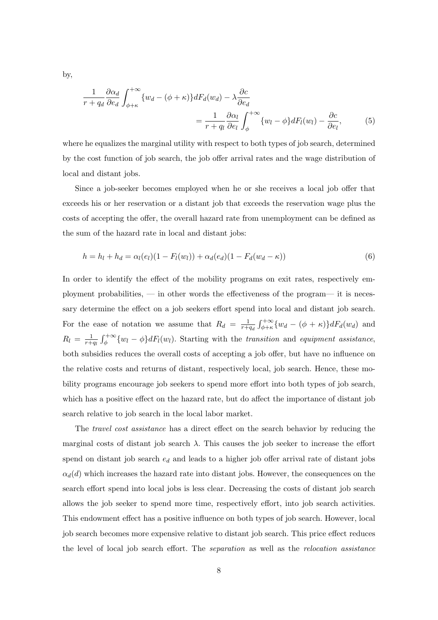by,

$$
\frac{1}{r+q_d} \frac{\partial \alpha_d}{\partial e_d} \int_{\phi+\kappa}^{+\infty} \{w_d - (\phi+\kappa)\} dF_d(w_d) - \lambda \frac{\partial c}{\partial e_d} \n= \frac{1}{r+q_l} \frac{\partial \alpha_l}{\partial e_l} \int_{\phi}^{+\infty} \{w_l - \phi\} dF_l(w_l) - \frac{\partial c}{\partial e_l},
$$
\n(5)

where he equalizes the marginal utility with respect to both types of job search, determined by the cost function of job search, the job offer arrival rates and the wage distribution of local and distant jobs.

Since a job-seeker becomes employed when he or she receives a local job offer that exceeds his or her reservation or a distant job that exceeds the reservation wage plus the costs of accepting the offer, the overall hazard rate from unemployment can be defined as the sum of the hazard rate in local and distant jobs:

$$
h = h_l + h_d = \alpha_l(e_l)(1 - F_l(w_l)) + \alpha_d(e_d)(1 - F_d(w_d - \kappa))
$$
\n(6)

In order to identify the effect of the mobility programs on exit rates, respectively employment probabilities,  $\frac{1}{10}$  in other words the effectiveness of the program— it is necessary determine the effect on a job seekers effort spend into local and distant job search. For the ease of notation we assume that  $R_d = \frac{1}{r+1}$  $\frac{1}{r+q_d} \int_{\phi+\kappa}^{+\infty} \{w_d - (\phi+\kappa)\} dF_d(w_d)$  and  $R_l = \frac{1}{r+1}$  $\frac{1}{r+q_l} \int_{\phi}^{+\infty} \{w_l - \phi\} dF_l(w_l)$ . Starting with the transition and equipment assistance, both subsidies reduces the overall costs of accepting a job offer, but have no influence on the relative costs and returns of distant, respectively local, job search. Hence, these mobility programs encourage job seekers to spend more effort into both types of job search, which has a positive effect on the hazard rate, but do affect the importance of distant job search relative to job search in the local labor market.

The travel cost assistance has a direct effect on the search behavior by reducing the marginal costs of distant job search  $\lambda$ . This causes the job seeker to increase the effort spend on distant job search  $e_d$  and leads to a higher job offer arrival rate of distant jobs  $\alpha_d(d)$  which increases the hazard rate into distant jobs. However, the consequences on the search effort spend into local jobs is less clear. Decreasing the costs of distant job search allows the job seeker to spend more time, respectively effort, into job search activities. This endowment effect has a positive influence on both types of job search. However, local job search becomes more expensive relative to distant job search. This price effect reduces the level of local job search effort. The *separation* as well as the *relocation assistance*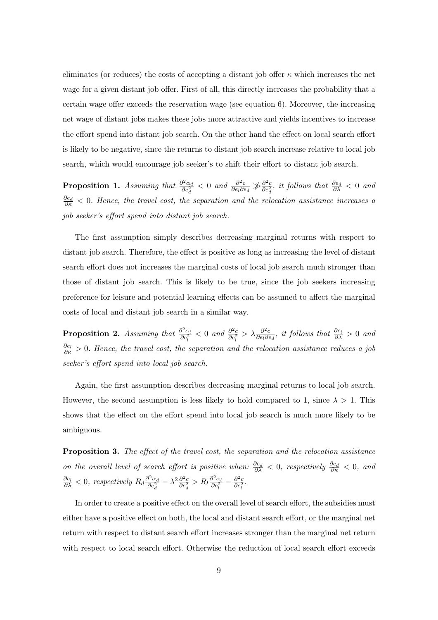eliminates (or reduces) the costs of accepting a distant job offer  $\kappa$  which increases the net wage for a given distant job offer. First of all, this directly increases the probability that a certain wage offer exceeds the reservation wage (see equation 6). Moreover, the increasing net wage of distant jobs makes these jobs more attractive and yields incentives to increase the effort spend into distant job search. On the other hand the effect on local search effort is likely to be negative, since the returns to distant job search increase relative to local job search, which would encourage job seeker's to shift their effort to distant job search.

**Proposition 1.** Assuming that  $\frac{\partial^2 \alpha_d}{\partial x^2}$  $\frac{\partial^2 \alpha_d}{\partial e_d^2} < 0$  and  $\frac{\partial^2 c}{\partial e_l \partial \alpha}$  $\frac{\partial^2 c}{\partial e_i \partial e_d} \gg \frac{\partial^2 c}{\partial e_d^2}$ , it follows that  $\frac{\partial e_d}{\partial \lambda} < 0$  and  $\frac{\partial e_d}{\partial \kappa}$  < 0. Hence, the travel cost, the separation and the relocation assistance increases a job seeker's effort spend into distant job search.

The first assumption simply describes decreasing marginal returns with respect to distant job search. Therefore, the effect is positive as long as increasing the level of distant search effort does not increases the marginal costs of local job search much stronger than those of distant job search. This is likely to be true, since the job seekers increasing preference for leisure and potential learning effects can be assumed to affect the marginal costs of local and distant job search in a similar way.

**Proposition 2.** Assuming that  $\frac{\partial^2 \alpha_i}{\partial x^2}$  $\frac{\partial^2 \alpha_l}{\partial e_l^2} < 0$  and  $\frac{\partial^2 c}{\partial e_l^2} > \lambda \frac{\partial^2 c}{\partial e_l \partial e_l}$  $\frac{\partial^2 c}{\partial e_l \partial e_d}$ , it follows that  $\frac{\partial e_l}{\partial \lambda} > 0$  and  $\frac{\partial e_l}{\partial \kappa} > 0$ . Hence, the travel cost, the separation and the relocation assistance reduces a job seeker's effort spend into local job search.

Again, the first assumption describes decreasing marginal returns to local job search. However, the second assumption is less likely to hold compared to 1, since  $\lambda > 1$ . This shows that the effect on the effort spend into local job search is much more likely to be ambiguous.

**Proposition 3.** The effect of the travel cost, the separation and the relocation assistance on the overall level of search effort is positive when:  $\frac{\partial e_d}{\partial \lambda} < 0$ , respectively  $\frac{\partial e_d}{\partial \kappa} < 0$ , and  $\frac{\partial e_l}{\partial \lambda} < 0$ , respectively  $R_d \frac{\partial^2 \alpha_d}{\partial e_1^2}$  $\frac{\partial^2 \alpha_d}{\partial e_d^2} - \lambda^2 \frac{\partial^2 c}{\partial e_d^2} > R_l \frac{\partial^2 \alpha_l}{\partial e_l^2}$  $\frac{\partial^2 \alpha_l}{\partial e_l^2} - \frac{\partial^2 c}{\partial e_l^2}.$ 

In order to create a positive effect on the overall level of search effort, the subsidies must either have a positive effect on both, the local and distant search effort, or the marginal net return with respect to distant search effort increases stronger than the marginal net return with respect to local search effort. Otherwise the reduction of local search effort exceeds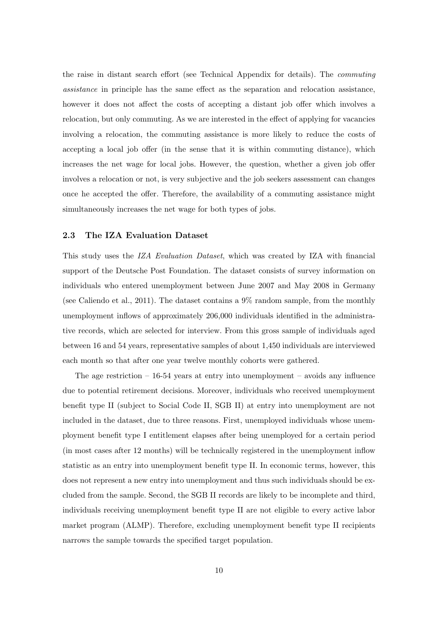the raise in distant search effort (see Technical Appendix for details). The commuting assistance in principle has the same effect as the separation and relocation assistance, however it does not affect the costs of accepting a distant job offer which involves a relocation, but only commuting. As we are interested in the effect of applying for vacancies involving a relocation, the commuting assistance is more likely to reduce the costs of accepting a local job offer (in the sense that it is within commuting distance), which increases the net wage for local jobs. However, the question, whether a given job offer involves a relocation or not, is very subjective and the job seekers assessment can changes once he accepted the offer. Therefore, the availability of a commuting assistance might simultaneously increases the net wage for both types of jobs.

#### 2.3 The IZA Evaluation Dataset

This study uses the IZA Evaluation Dataset, which was created by IZA with financial support of the Deutsche Post Foundation. The dataset consists of survey information on individuals who entered unemployment between June 2007 and May 2008 in Germany (see Caliendo et al., 2011). The dataset contains a 9% random sample, from the monthly unemployment inflows of approximately 206,000 individuals identified in the administrative records, which are selected for interview. From this gross sample of individuals aged between 16 and 54 years, representative samples of about 1,450 individuals are interviewed each month so that after one year twelve monthly cohorts were gathered.

The age restriction  $-16-54$  years at entry into unemployment – avoids any influence due to potential retirement decisions. Moreover, individuals who received unemployment benefit type II (subject to Social Code II, SGB II) at entry into unemployment are not included in the dataset, due to three reasons. First, unemployed individuals whose unemployment benefit type I entitlement elapses after being unemployed for a certain period (in most cases after 12 months) will be technically registered in the unemployment inflow statistic as an entry into unemployment benefit type II. In economic terms, however, this does not represent a new entry into unemployment and thus such individuals should be excluded from the sample. Second, the SGB II records are likely to be incomplete and third, individuals receiving unemployment benefit type II are not eligible to every active labor market program (ALMP). Therefore, excluding unemployment benefit type II recipients narrows the sample towards the specified target population.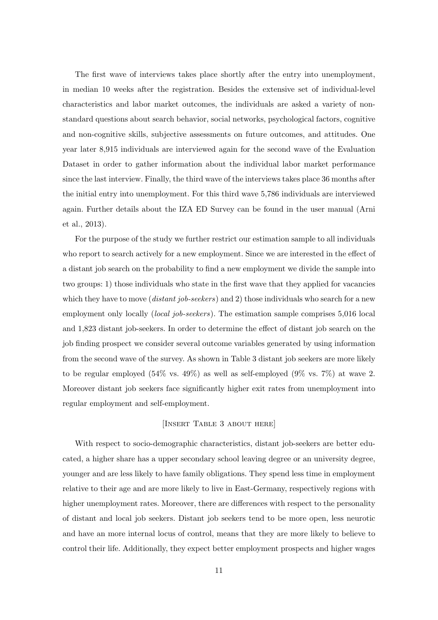The first wave of interviews takes place shortly after the entry into unemployment, in median 10 weeks after the registration. Besides the extensive set of individual-level characteristics and labor market outcomes, the individuals are asked a variety of nonstandard questions about search behavior, social networks, psychological factors, cognitive and non-cognitive skills, subjective assessments on future outcomes, and attitudes. One year later 8,915 individuals are interviewed again for the second wave of the Evaluation Dataset in order to gather information about the individual labor market performance since the last interview. Finally, the third wave of the interviews takes place 36 months after the initial entry into unemployment. For this third wave 5,786 individuals are interviewed again. Further details about the IZA ED Survey can be found in the user manual (Arni et al., 2013).

For the purpose of the study we further restrict our estimation sample to all individuals who report to search actively for a new employment. Since we are interested in the effect of a distant job search on the probability to find a new employment we divide the sample into two groups: 1) those individuals who state in the first wave that they applied for vacancies which they have to move (*distant job-seekers*) and 2) those individuals who search for a new employment only locally (*local job-seekers*). The estimation sample comprises 5,016 local and 1,823 distant job-seekers. In order to determine the effect of distant job search on the job finding prospect we consider several outcome variables generated by using information from the second wave of the survey. As shown in Table 3 distant job seekers are more likely to be regular employed (54% vs. 49%) as well as self-employed (9% vs. 7%) at wave 2. Moreover distant job seekers face significantly higher exit rates from unemployment into regular employment and self-employment.

#### [Insert Table 3 about here]

With respect to socio-demographic characteristics, distant job-seekers are better educated, a higher share has a upper secondary school leaving degree or an university degree, younger and are less likely to have family obligations. They spend less time in employment relative to their age and are more likely to live in East-Germany, respectively regions with higher unemployment rates. Moreover, there are differences with respect to the personality of distant and local job seekers. Distant job seekers tend to be more open, less neurotic and have an more internal locus of control, means that they are more likely to believe to control their life. Additionally, they expect better employment prospects and higher wages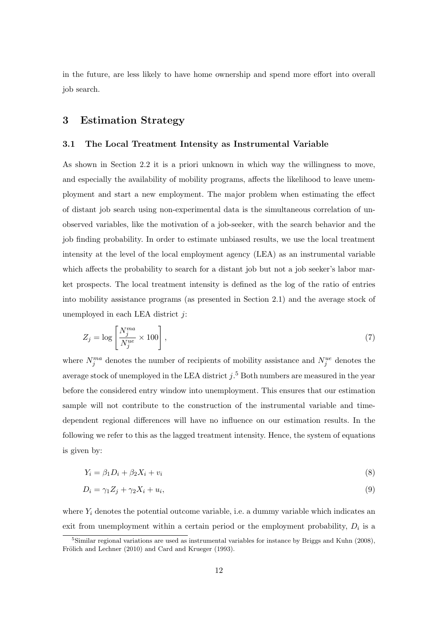in the future, are less likely to have home ownership and spend more effort into overall job search.

# 3 Estimation Strategy

#### 3.1 The Local Treatment Intensity as Instrumental Variable

As shown in Section 2.2 it is a priori unknown in which way the willingness to move, and especially the availability of mobility programs, affects the likelihood to leave unemployment and start a new employment. The major problem when estimating the effect of distant job search using non-experimental data is the simultaneous correlation of unobserved variables, like the motivation of a job-seeker, with the search behavior and the job finding probability. In order to estimate unbiased results, we use the local treatment intensity at the level of the local employment agency (LEA) as an instrumental variable which affects the probability to search for a distant job but not a job seeker's labor market prospects. The local treatment intensity is defined as the log of the ratio of entries into mobility assistance programs (as presented in Section 2.1) and the average stock of unemployed in each LEA district  $j$ :

$$
Z_j = \log\left[\frac{N_j^{ma}}{N_j^{ue}} \times 100\right],\tag{7}
$$

where  $N_j^{ma}$  denotes the number of recipients of mobility assistance and  $N_j^{ue}$  denotes the average stock of unemployed in the LEA district  $j$ .<sup>5</sup> Both numbers are measured in the year before the considered entry window into unemployment. This ensures that our estimation sample will not contribute to the construction of the instrumental variable and timedependent regional differences will have no influence on our estimation results. In the following we refer to this as the lagged treatment intensity. Hence, the system of equations is given by:

$$
Y_i = \beta_1 D_i + \beta_2 X_i + v_i \tag{8}
$$

$$
D_i = \gamma_1 Z_j + \gamma_2 X_i + u_i,\tag{9}
$$

where  $Y_i$  denotes the potential outcome variable, i.e. a dummy variable which indicates an exit from unemployment within a certain period or the employment probability,  $D_i$  is a

<sup>&</sup>lt;sup>5</sup>Similar regional variations are used as instrumental variables for instance by Briggs and Kuhn (2008), Frölich and Lechner (2010) and Card and Krueger (1993).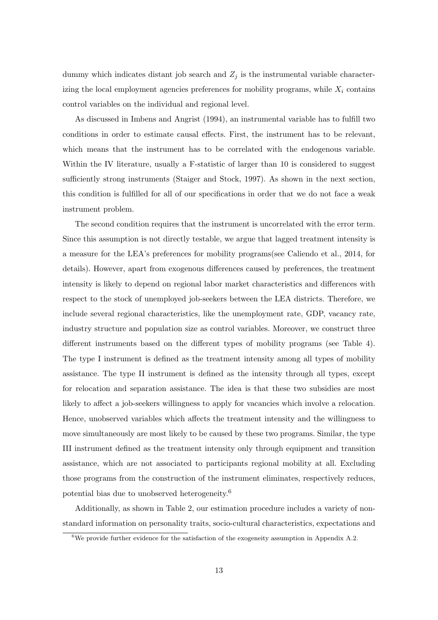dummy which indicates distant job search and  $Z_j$  is the instrumental variable characterizing the local employment agencies preferences for mobility programs, while  $X_i$  contains control variables on the individual and regional level.

As discussed in Imbens and Angrist (1994), an instrumental variable has to fulfill two conditions in order to estimate causal effects. First, the instrument has to be relevant, which means that the instrument has to be correlated with the endogenous variable. Within the IV literature, usually a F-statistic of larger than 10 is considered to suggest sufficiently strong instruments (Staiger and Stock, 1997). As shown in the next section, this condition is fulfilled for all of our specifications in order that we do not face a weak instrument problem.

The second condition requires that the instrument is uncorrelated with the error term. Since this assumption is not directly testable, we argue that lagged treatment intensity is a measure for the LEA's preferences for mobility programs(see Caliendo et al., 2014, for details). However, apart from exogenous differences caused by preferences, the treatment intensity is likely to depend on regional labor market characteristics and differences with respect to the stock of unemployed job-seekers between the LEA districts. Therefore, we include several regional characteristics, like the unemployment rate, GDP, vacancy rate, industry structure and population size as control variables. Moreover, we construct three different instruments based on the different types of mobility programs (see Table 4). The type I instrument is defined as the treatment intensity among all types of mobility assistance. The type II instrument is defined as the intensity through all types, except for relocation and separation assistance. The idea is that these two subsidies are most likely to affect a job-seekers willingness to apply for vacancies which involve a relocation. Hence, unobserved variables which affects the treatment intensity and the willingness to move simultaneously are most likely to be caused by these two programs. Similar, the type III instrument defined as the treatment intensity only through equipment and transition assistance, which are not associated to participants regional mobility at all. Excluding those programs from the construction of the instrument eliminates, respectively reduces, potential bias due to unobserved heterogeneity.<sup>6</sup>

Additionally, as shown in Table 2, our estimation procedure includes a variety of nonstandard information on personality traits, socio-cultural characteristics, expectations and

 $6$ We provide further evidence for the satisfaction of the exogeneity assumption in Appendix A.2.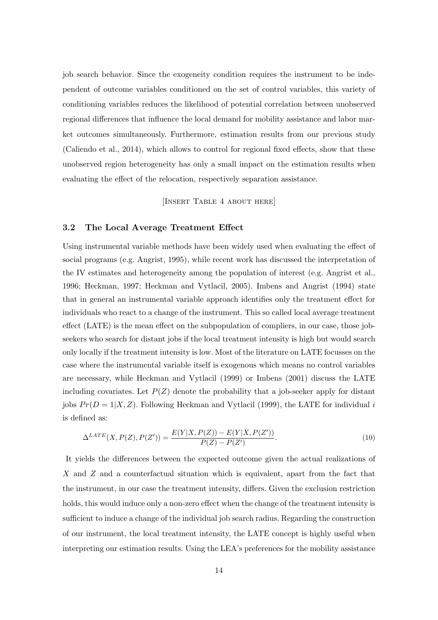job search behavior. Since the exogeneity condition requires the instrument to be independent of outcome variables conditioned on the set of control variables, this variety of conditioning variables reduces the likelihood of potential correlation between unobserved regional differences that influence the local demand for mobility assistance and labor market outcomes simultaneously. Furthermore, estimation results from our previous study (Caliendo et al., 2014), which allows to control for regional fixed effects, show that these unobserved region heterogeneity has only a small impact on the estimation results when evaluating the effect of the relocation, respectively separation assistance.

[Insert Table 4 about here]

#### 3.2 The Local Average Treatment Effect

Using instrumental variable methods have been widely used when evaluating the effect of social programs (e.g. Angrist, 1995), while recent work has discussed the interpretation of the IV estimates and heterogeneity among the population of interest (e.g. Angrist et al., 1996; Heckman, 1997; Heckman and Vytlacil, 2005). Imbens and Angrist (1994) state that in general an instrumental variable approach identifies only the treatment effect for individuals who react to a change of the instrument. This so called local average treatment effect (LATE) is the mean effect on the subpopulation of compliers, in our case, those jobseekers who search for distant jobs if the local treatment intensity is high but would search only locally if the treatment intensity is low. Most of the literature on LATE focusses on the case where the instrumental variable itself is exogenous which means no control variables are necessary, while Heckman and Vytlacil (1999) or Imbens (2001) discuss the LATE including covariates. Let  $P(Z)$  denote the probability that a job-seeker apply for distant jobs  $Pr(D = 1|X, Z)$ . Following Heckman and Vytlacil (1999), the LATE for individual i is defined as:

$$
\Delta^{LATE}(X, P(Z), P(Z')) = \frac{E(Y|X, P(Z)) - E(Y|X, P(Z'))}{P(Z) - P(Z')}.
$$
\n(10)

It yields the differences between the expected outcome given the actual realizations of X and Z and a counterfactual situation which is equivalent, apart from the fact that the instrument, in our case the treatment intensity, differs. Given the exclusion restriction holds, this would induce only a non-zero effect when the change of the treatment intensity is sufficient to induce a change of the individual job search radius. Regarding the construction of our instrument, the local treatment intensity, the LATE concept is highly useful when interpreting our estimation results. Using the LEA's preferences for the mobility assistance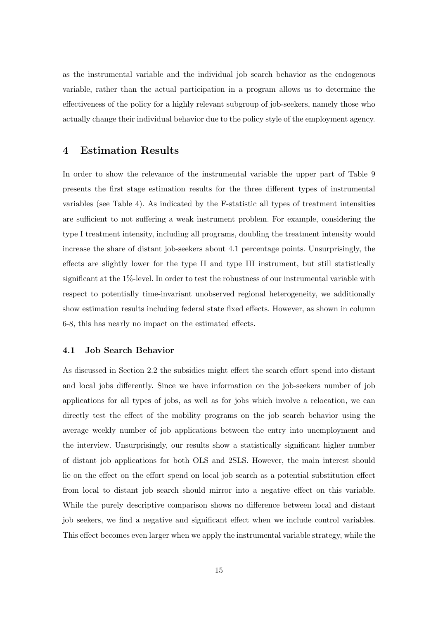as the instrumental variable and the individual job search behavior as the endogenous variable, rather than the actual participation in a program allows us to determine the effectiveness of the policy for a highly relevant subgroup of job-seekers, namely those who actually change their individual behavior due to the policy style of the employment agency.

# 4 Estimation Results

In order to show the relevance of the instrumental variable the upper part of Table 9 presents the first stage estimation results for the three different types of instrumental variables (see Table 4). As indicated by the F-statistic all types of treatment intensities are sufficient to not suffering a weak instrument problem. For example, considering the type I treatment intensity, including all programs, doubling the treatment intensity would increase the share of distant job-seekers about 4.1 percentage points. Unsurprisingly, the effects are slightly lower for the type II and type III instrument, but still statistically significant at the 1%-level. In order to test the robustness of our instrumental variable with respect to potentially time-invariant unobserved regional heterogeneity, we additionally show estimation results including federal state fixed effects. However, as shown in column 6-8, this has nearly no impact on the estimated effects.

### 4.1 Job Search Behavior

As discussed in Section 2.2 the subsidies might effect the search effort spend into distant and local jobs differently. Since we have information on the job-seekers number of job applications for all types of jobs, as well as for jobs which involve a relocation, we can directly test the effect of the mobility programs on the job search behavior using the average weekly number of job applications between the entry into unemployment and the interview. Unsurprisingly, our results show a statistically significant higher number of distant job applications for both OLS and 2SLS. However, the main interest should lie on the effect on the effort spend on local job search as a potential substitution effect from local to distant job search should mirror into a negative effect on this variable. While the purely descriptive comparison shows no difference between local and distant job seekers, we find a negative and significant effect when we include control variables. This effect becomes even larger when we apply the instrumental variable strategy, while the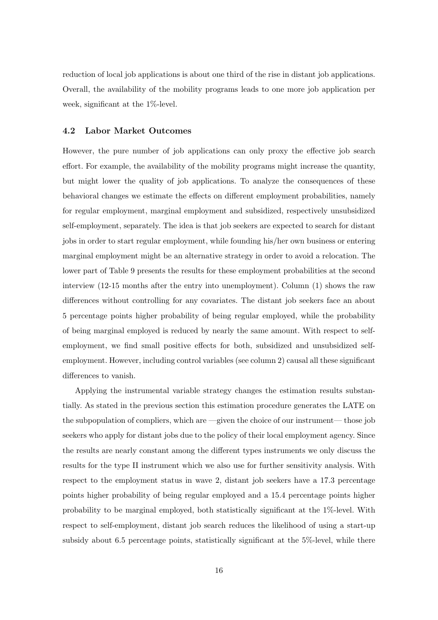reduction of local job applications is about one third of the rise in distant job applications. Overall, the availability of the mobility programs leads to one more job application per week, significant at the 1%-level.

#### 4.2 Labor Market Outcomes

However, the pure number of job applications can only proxy the effective job search effort. For example, the availability of the mobility programs might increase the quantity, but might lower the quality of job applications. To analyze the consequences of these behavioral changes we estimate the effects on different employment probabilities, namely for regular employment, marginal employment and subsidized, respectively unsubsidized self-employment, separately. The idea is that job seekers are expected to search for distant jobs in order to start regular employment, while founding his/her own business or entering marginal employment might be an alternative strategy in order to avoid a relocation. The lower part of Table 9 presents the results for these employment probabilities at the second interview (12-15 months after the entry into unemployment). Column (1) shows the raw differences without controlling for any covariates. The distant job seekers face an about 5 percentage points higher probability of being regular employed, while the probability of being marginal employed is reduced by nearly the same amount. With respect to selfemployment, we find small positive effects for both, subsidized and unsubsidized selfemployment. However, including control variables (see column 2) causal all these significant differences to vanish.

Applying the instrumental variable strategy changes the estimation results substantially. As stated in the previous section this estimation procedure generates the LATE on the subpopulation of compliers, which are —given the choice of our instrument— those job seekers who apply for distant jobs due to the policy of their local employment agency. Since the results are nearly constant among the different types instruments we only discuss the results for the type II instrument which we also use for further sensitivity analysis. With respect to the employment status in wave 2, distant job seekers have a 17.3 percentage points higher probability of being regular employed and a 15.4 percentage points higher probability to be marginal employed, both statistically significant at the 1%-level. With respect to self-employment, distant job search reduces the likelihood of using a start-up subsidy about 6.5 percentage points, statistically significant at the 5%-level, while there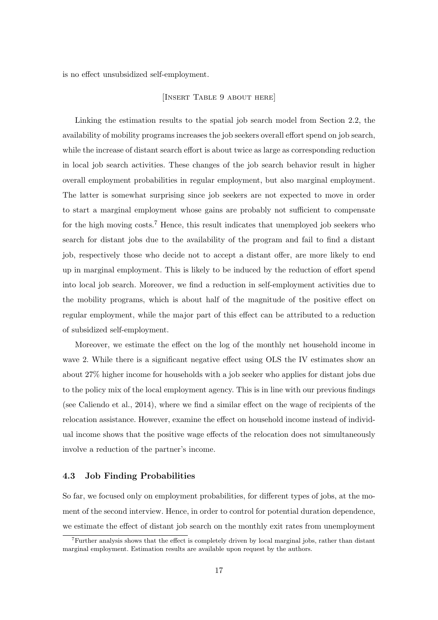is no effect unsubsidized self-employment.

#### [Insert Table 9 about here]

Linking the estimation results to the spatial job search model from Section 2.2, the availability of mobility programs increases the job seekers overall effort spend on job search, while the increase of distant search effort is about twice as large as corresponding reduction in local job search activities. These changes of the job search behavior result in higher overall employment probabilities in regular employment, but also marginal employment. The latter is somewhat surprising since job seekers are not expected to move in order to start a marginal employment whose gains are probably not sufficient to compensate for the high moving costs.<sup>7</sup> Hence, this result indicates that unemployed job seekers who search for distant jobs due to the availability of the program and fail to find a distant job, respectively those who decide not to accept a distant offer, are more likely to end up in marginal employment. This is likely to be induced by the reduction of effort spend into local job search. Moreover, we find a reduction in self-employment activities due to the mobility programs, which is about half of the magnitude of the positive effect on regular employment, while the major part of this effect can be attributed to a reduction of subsidized self-employment.

Moreover, we estimate the effect on the log of the monthly net household income in wave 2. While there is a significant negative effect using OLS the IV estimates show an about 27% higher income for households with a job seeker who applies for distant jobs due to the policy mix of the local employment agency. This is in line with our previous findings (see Caliendo et al., 2014), where we find a similar effect on the wage of recipients of the relocation assistance. However, examine the effect on household income instead of individual income shows that the positive wage effects of the relocation does not simultaneously involve a reduction of the partner's income.

#### 4.3 Job Finding Probabilities

So far, we focused only on employment probabilities, for different types of jobs, at the moment of the second interview. Hence, in order to control for potential duration dependence, we estimate the effect of distant job search on the monthly exit rates from unemployment

<sup>7</sup>Further analysis shows that the effect is completely driven by local marginal jobs, rather than distant marginal employment. Estimation results are available upon request by the authors.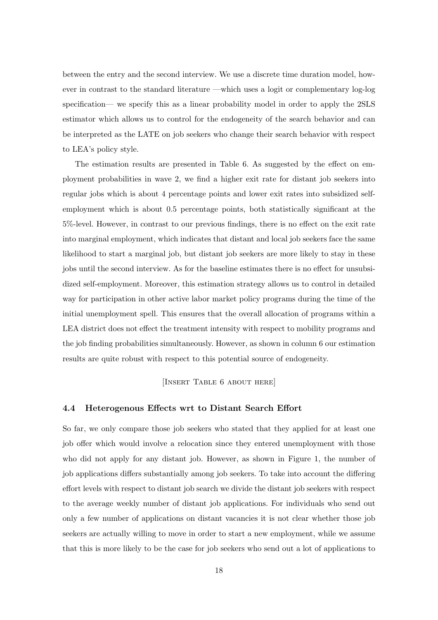between the entry and the second interview. We use a discrete time duration model, however in contrast to the standard literature —which uses a logit or complementary log-log specification— we specify this as a linear probability model in order to apply the 2SLS estimator which allows us to control for the endogeneity of the search behavior and can be interpreted as the LATE on job seekers who change their search behavior with respect to LEA's policy style.

The estimation results are presented in Table 6. As suggested by the effect on employment probabilities in wave 2, we find a higher exit rate for distant job seekers into regular jobs which is about 4 percentage points and lower exit rates into subsidized selfemployment which is about 0.5 percentage points, both statistically significant at the 5%-level. However, in contrast to our previous findings, there is no effect on the exit rate into marginal employment, which indicates that distant and local job seekers face the same likelihood to start a marginal job, but distant job seekers are more likely to stay in these jobs until the second interview. As for the baseline estimates there is no effect for unsubsidized self-employment. Moreover, this estimation strategy allows us to control in detailed way for participation in other active labor market policy programs during the time of the initial unemployment spell. This ensures that the overall allocation of programs within a LEA district does not effect the treatment intensity with respect to mobility programs and the job finding probabilities simultaneously. However, as shown in column 6 our estimation results are quite robust with respect to this potential source of endogeneity.

[Insert Table 6 about here]

#### 4.4 Heterogenous Effects wrt to Distant Search Effort

So far, we only compare those job seekers who stated that they applied for at least one job offer which would involve a relocation since they entered unemployment with those who did not apply for any distant job. However, as shown in Figure 1, the number of job applications differs substantially among job seekers. To take into account the differing effort levels with respect to distant job search we divide the distant job seekers with respect to the average weekly number of distant job applications. For individuals who send out only a few number of applications on distant vacancies it is not clear whether those job seekers are actually willing to move in order to start a new employment, while we assume that this is more likely to be the case for job seekers who send out a lot of applications to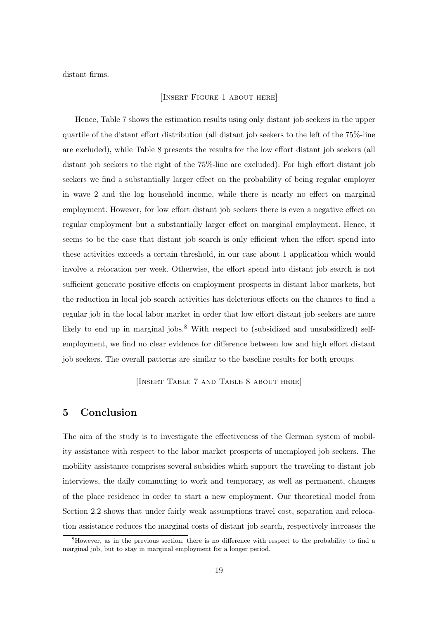distant firms.

#### [Insert Figure 1 about here]

Hence, Table 7 shows the estimation results using only distant job seekers in the upper quartile of the distant effort distribution (all distant job seekers to the left of the 75%-line are excluded), while Table 8 presents the results for the low effort distant job seekers (all distant job seekers to the right of the 75%-line are excluded). For high effort distant job seekers we find a substantially larger effect on the probability of being regular employer in wave 2 and the log household income, while there is nearly no effect on marginal employment. However, for low effort distant job seekers there is even a negative effect on regular employment but a substantially larger effect on marginal employment. Hence, it seems to be the case that distant job search is only efficient when the effort spend into these activities exceeds a certain threshold, in our case about 1 application which would involve a relocation per week. Otherwise, the effort spend into distant job search is not sufficient generate positive effects on employment prospects in distant labor markets, but the reduction in local job search activities has deleterious effects on the chances to find a regular job in the local labor market in order that low effort distant job seekers are more likely to end up in marginal jobs.<sup>8</sup> With respect to (subsidized and unsubsidized) selfemployment, we find no clear evidence for difference between low and high effort distant job seekers. The overall patterns are similar to the baseline results for both groups.

[Insert Table 7 and Table 8 about here]

## 5 Conclusion

The aim of the study is to investigate the effectiveness of the German system of mobility assistance with respect to the labor market prospects of unemployed job seekers. The mobility assistance comprises several subsidies which support the traveling to distant job interviews, the daily commuting to work and temporary, as well as permanent, changes of the place residence in order to start a new employment. Our theoretical model from Section 2.2 shows that under fairly weak assumptions travel cost, separation and relocation assistance reduces the marginal costs of distant job search, respectively increases the

<sup>&</sup>lt;sup>8</sup>However, as in the previous section, there is no difference with respect to the probability to find a marginal job, but to stay in marginal employment for a longer period.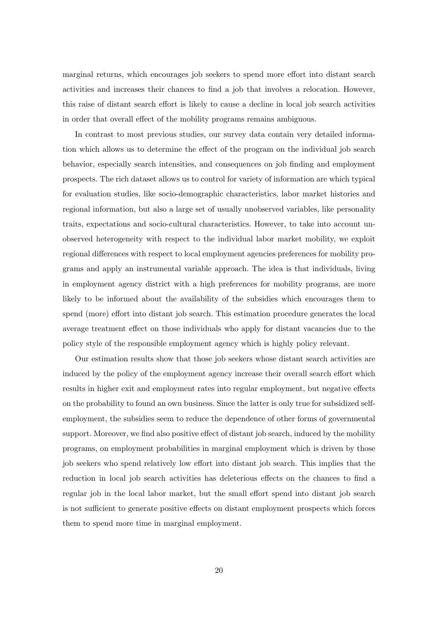marginal returns, which encourages job seekers to spend more effort into distant search activities and increases their chances to find a job that involves a relocation. However, this raise of distant search effort is likely to cause a decline in local job search activities in order that overall effect of the mobility programs remains ambiguous.

In contrast to most previous studies, our survey data contain very detailed information which allows us to determine the effect of the program on the individual job search behavior, especially search intensities, and consequences on job finding and employment prospects. The rich dataset allows us to control for variety of information are which typical for evaluation studies, like socio-demographic characteristics, labor market histories and regional information, but also a large set of usually unobserved variables, like personality traits, expectations and socio-cultural characteristics. However, to take into account unobserved heterogeneity with respect to the individual labor market mobility, we exploit regional differences with respect to local employment agencies preferences for mobility programs and apply an instrumental variable approach. The idea is that individuals, living in employment agency district with a high preferences for mobility programs, are more likely to be informed about the availability of the subsidies which encourages them to spend (more) effort into distant job search. This estimation procedure generates the local average treatment effect on those individuals who apply for distant vacancies due to the policy style of the responsible employment agency which is highly policy relevant.

Our estimation results show that those job seekers whose distant search activities are induced by the policy of the employment agency increase their overall search effort which results in higher exit and employment rates into regular employment, but negative effects on the probability to found an own business. Since the latter is only true for subsidized selfemployment, the subsidies seem to reduce the dependence of other forms of governmental support. Moreover, we find also positive effect of distant job search, induced by the mobility programs, on employment probabilities in marginal employment which is driven by those job seekers who spend relatively low effort into distant job search. This implies that the reduction in local job search activities has deleterious effects on the chances to find a regular job in the local labor market, but the small effort spend into distant job search is not sufficient to generate positive effects on distant employment prospects which forces them to spend more time in marginal employment.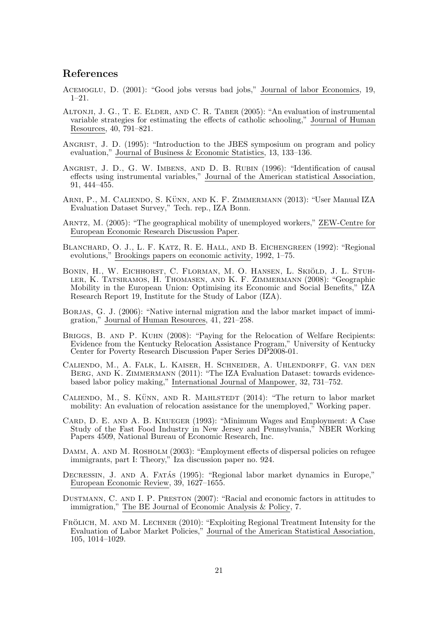# References

- Acemoglu, D. (2001): "Good jobs versus bad jobs," Journal of labor Economics, 19, 1–21.
- Altonji, J. G., T. E. Elder, and C. R. Taber (2005): "An evaluation of instrumental variable strategies for estimating the effects of catholic schooling," Journal of Human Resources, 40, 791–821.
- Angrist, J. D. (1995): "Introduction to the JBES symposium on program and policy evaluation," Journal of Business & Economic Statistics, 13, 133–136.
- Angrist, J. D., G. W. Imbens, and D. B. Rubin (1996): "Identification of causal effects using instrumental variables," Journal of the American statistical Association, 91, 444–455.
- ARNI, P., M. CALIENDO, S. KÜNN, AND K. F. ZIMMERMANN (2013): "User Manual IZA Evaluation Dataset Survey," Tech. rep., IZA Bonn.
- Arntz, M. (2005): "The geographical mobility of unemployed workers," ZEW-Centre for European Economic Research Discussion Paper.
- Blanchard, O. J., L. F. Katz, R. E. Hall, and B. Eichengreen (1992): "Regional evolutions," Brookings papers on economic activity, 1992, 1–75.
- BONIN, H., W. EICHHORST, C. FLORMAN, M. O. HANSEN, L. SKIÖLD, J. L. STUHler, K. Tatsiramos, H. Thomasen, and K. F. Zimmermann (2008): "Geographic Mobility in the European Union: Optimising its Economic and Social Benefits," IZA Research Report 19, Institute for the Study of Labor (IZA).
- BORJAS, G. J. (2006): "Native internal migration and the labor market impact of immigration," Journal of Human Resources, 41, 221–258.
- BRIGGS, B. AND P. KUHN (2008): "Paying for the Relocation of Welfare Recipients: Evidence from the Kentucky Relocation Assistance Program," University of Kentucky Center for Poverty Research Discussion Paper Series DP2008-01.
- Caliendo, M., A. Falk, L. Kaiser, H. Schneider, A. Uhlendorff, G. van den BERG, AND K. ZIMMERMANN (2011): "The IZA Evaluation Dataset: towards evidencebased labor policy making," International Journal of Manpower, 32, 731–752.
- CALIENDO, M., S. KÜNN, AND R. MAHLSTEDT  $(2014)$ : "The return to labor market mobility: An evaluation of relocation assistance for the unemployed," Working paper.
- Card, D. E. and A. B. Krueger (1993): "Minimum Wages and Employment: A Case Study of the Fast Food Industry in New Jersey and Pennsylvania," NBER Working Papers 4509, National Bureau of Economic Research, Inc.
- DAMM, A. AND M. ROSHOLM (2003): "Employment effects of dispersal policies on refugee immigrants, part I: Theory," Iza discussion paper no. 924.
- DECRESSIN, J. AND A. FATAS (1995): "Regional labor market dynamics in Europe," European Economic Review, 39, 1627–1655.
- Dustmann, C. and I. P. Preston (2007): "Racial and economic factors in attitudes to immigration," The BE Journal of Economic Analysis & Policy, 7.
- FRÖLICH, M. AND M. LECHNER (2010): "Exploiting Regional Treatment Intensity for the Evaluation of Labor Market Policies," Journal of the American Statistical Association, 105, 1014–1029.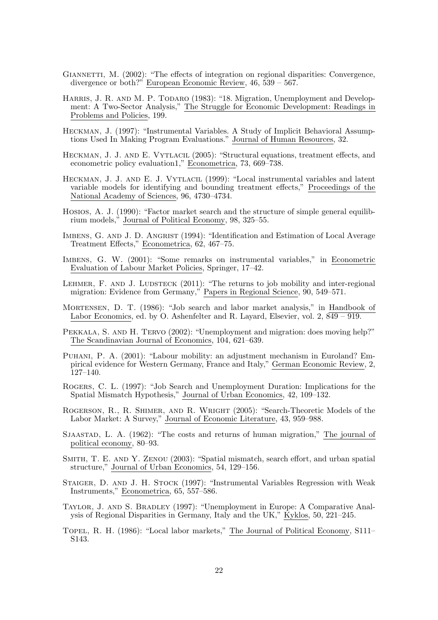- GIANNETTI, M. (2002): "The effects of integration on regional disparities: Convergence, divergence or both?" European Economic Review, 46, 539 – 567.
- HARRIS, J. R. AND M. P. TODARO (1983): "18. Migration, Unemployment and Development: A Two-Sector Analysis," The Struggle for Economic Development: Readings in Problems and Policies, 199.
- Heckman, J. (1997): "Instrumental Variables. A Study of Implicit Behavioral Assumptions Used In Making Program Evaluations." Journal of Human Resources, 32.
- HECKMAN, J. J. AND E. VYTLACIL (2005): "Structural equations, treatment effects, and econometric policy evaluation1," Econometrica, 73, 669–738.
- HECKMAN, J. J. AND E. J. VYTLACIL (1999): "Local instrumental variables and latent variable models for identifying and bounding treatment effects," Proceedings of the National Academy of Sciences, 96, 4730–4734.
- Hosios, A. J. (1990): "Factor market search and the structure of simple general equilibrium models," Journal of Political Economy, 98, 325–55.
- IMBENS, G. AND J. D. ANGRIST (1994): "Identification and Estimation of Local Average Treatment Effects," Econometrica, 62, 467–75.
- Imbens, G. W. (2001): "Some remarks on instrumental variables," in Econometric Evaluation of Labour Market Policies, Springer, 17–42.
- LEHMER, F. AND J. LUDSTECK  $(2011)$ : "The returns to job mobility and inter-regional migration: Evidence from Germany," Papers in Regional Science, 90, 549–571.
- Mortensen, D. T. (1986): "Job search and labor market analysis," in Handbook of Labor Economics, ed. by O. Ashenfelter and R. Layard, Elsevier, vol. 2, 849 – 919.
- PEKKALA, S. AND H. TERVO (2002): "Unemployment and migration: does moving help?" The Scandinavian Journal of Economics, 104, 621–639.
- Puhani, P. A. (2001): "Labour mobility: an adjustment mechanism in Euroland? Empirical evidence for Western Germany, France and Italy," German Economic Review, 2, 127–140.
- Rogers, C. L. (1997): "Job Search and Unemployment Duration: Implications for the Spatial Mismatch Hypothesis," Journal of Urban Economics, 42, 109–132.
- Rogerson, R., R. Shimer, and R. Wright (2005): "Search-Theoretic Models of the Labor Market: A Survey," Journal of Economic Literature, 43, 959–988.
- Sjaastad, L. A. (1962): "The costs and returns of human migration," The journal of political economy, 80–93.
- Smith, T. E. and Y. Zenou (2003): "Spatial mismatch, search effort, and urban spatial structure," Journal of Urban Economics, 54, 129–156.
- Staiger, D. and J. H. Stock (1997): "Instrumental Variables Regression with Weak Instruments," Econometrica, 65, 557–586.
- Taylor, J. and S. Bradley (1997): "Unemployment in Europe: A Comparative Analysis of Regional Disparities in Germany, Italy and the UK," Kyklos, 50, 221–245.
- Topel, R. H. (1986): "Local labor markets," The Journal of Political Economy, S111– S143.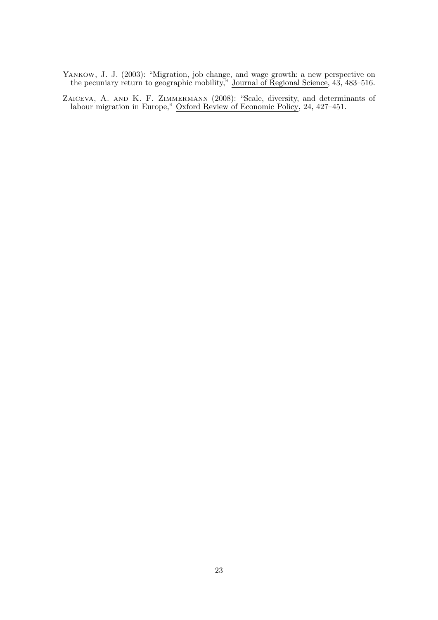- YANKOW, J. J. (2003): "Migration, job change, and wage growth: a new perspective on the pecuniary return to geographic mobility," Journal of Regional Science, 43, 483–516.
- ZAICEVA, A. AND K. F. ZIMMERMANN (2008): "Scale, diversity, and determinants of labour migration in Europe," Oxford Review of Economic Policy, 24, 427–451.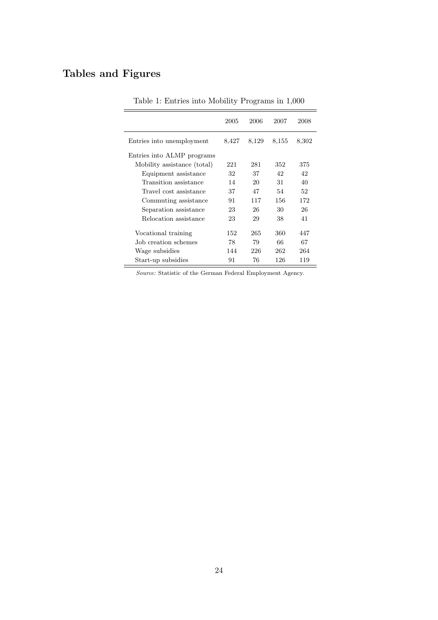# Tables and Figures

|                             | 2005  | 2006  | 2007  | 2008  |
|-----------------------------|-------|-------|-------|-------|
| Entries into unemployment   | 8,427 | 8,129 | 8,155 | 8,302 |
| Entries into ALMP programs  |       |       |       |       |
| Mobility assistance (total) | 221   | 281   | 352   | 375   |
| Equipment assistance        | 32    | 37    | 42    | 42    |
| Transition assistance       | 14    | 20    | 31    | 40    |
| Travel cost assistance      | 37    | 47    | 54    | 52    |
| Commuting assistance        | 91    | 117   | 156   | 172   |
| Separation assistance       | 23    | 26    | 30    | 26    |
| Relocation assistance       | 23    | 29    | 38    | 41    |
| Vocational training         | 152   | 265   | 360   | 447   |
| Job creation schemes        | 78    | 79    | 66    | 67    |
| Wage subsidies              | 144   | 226   | 262   | 264   |
| Start-up subsidies          | 91    | 76    | 126   | 119   |

Table 1: Entries into Mobility Programs in 1,000

Source: Statistic of the German Federal Employment Agency.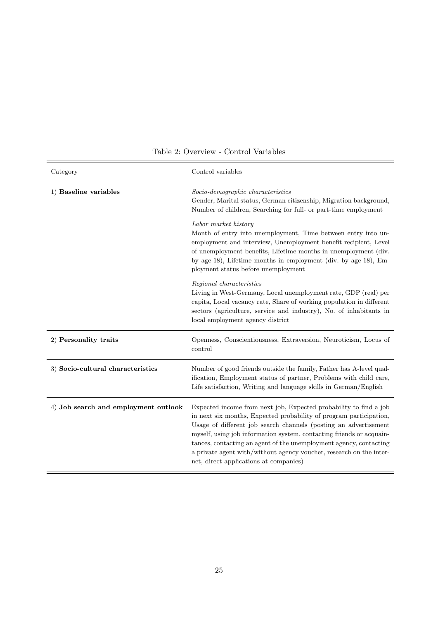| Category                             | Control variables                                                                                                                                                                                                                                                                                                                                                                                                                                                          |
|--------------------------------------|----------------------------------------------------------------------------------------------------------------------------------------------------------------------------------------------------------------------------------------------------------------------------------------------------------------------------------------------------------------------------------------------------------------------------------------------------------------------------|
| 1) Baseline variables                | Socio-demographic characteristics<br>Gender, Marital status, German citizenship, Migration background,<br>Number of children, Searching for full- or part-time employment                                                                                                                                                                                                                                                                                                  |
|                                      | Labor market history<br>Month of entry into unemployment, Time between entry into un-<br>employment and interview, Unemployment benefit recipient, Level<br>of unemployment benefits, Lifetime months in unemployment (div.<br>by age-18), Lifetime months in employment (div. by age-18), Em-<br>ployment status before unemployment                                                                                                                                      |
|                                      | Regional characteristics<br>Living in West-Germany, Local unemployment rate, GDP (real) per<br>capita, Local vacancy rate, Share of working population in different<br>sectors (agriculture, service and industry), No. of inhabitants in<br>local employment agency district                                                                                                                                                                                              |
| 2) Personality traits                | Openness, Conscientiousness, Extraversion, Neuroticism, Locus of<br>control                                                                                                                                                                                                                                                                                                                                                                                                |
| 3) Socio-cultural characteristics    | Number of good friends outside the family, Father has A-level qual-<br>ification, Employment status of partner, Problems with child care,<br>Life satisfaction, Writing and language skills in German/English                                                                                                                                                                                                                                                              |
| 4) Job search and employment outlook | Expected income from next job, Expected probability to find a job<br>in next six months, Expected probability of program participation,<br>Usage of different job search channels (posting an advertisement<br>myself, using job information system, contacting friends or acquain-<br>tances, contacting an agent of the unemployment agency, contacting<br>a private agent with/without agency voucher, research on the inter-<br>net, direct applications at companies) |

# Table 2: Overview - Control Variables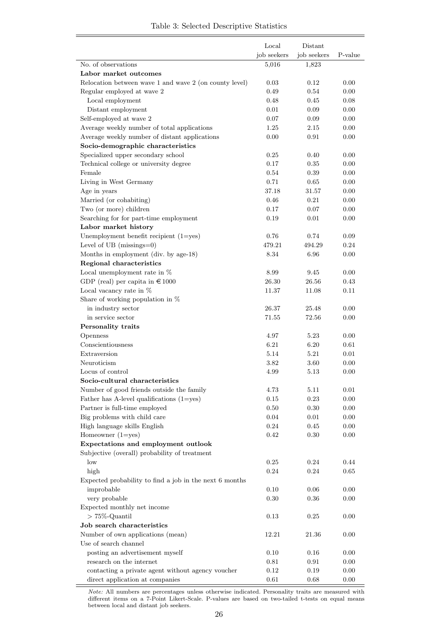|                                                         | Local       | Distant     |          |
|---------------------------------------------------------|-------------|-------------|----------|
|                                                         | job seekers | job seekers | P-value  |
| No. of observations                                     | 5,016       | 1,823       |          |
| Labor market outcomes                                   |             |             |          |
| Relocation between wave 1 and wave 2 (on county level)  | 0.03        | 0.12        | 0.00     |
| Regular employed at wave 2                              | 0.49        | 0.54        | 0.00     |
| Local employment                                        | 0.48        | 0.45        | 0.08     |
| Distant employment                                      | 0.01        | 0.09        | 0.00     |
| Self-employed at wave 2                                 | 0.07        | 0.09        | 0.00     |
| Average weekly number of total applications             | 1.25        | 2.15        | 0.00     |
| Average weekly number of distant applications           | 0.00        | 0.91        | 0.00     |
| Socio-demographic characteristics                       |             |             |          |
| Specialized upper secondary school                      | 0.25        | 0.40        | 0.00     |
| Technical college or university degree                  | 0.17        | 0.35        | 0.00     |
| Female                                                  | 0.54        | 0.39        | 0.00     |
| Living in West Germany                                  | 0.71        | 0.65        | 0.00     |
| Age in years                                            | 37.18       | 31.57       | 0.00     |
| Married (or cohabiting)                                 | 0.46        | 0.21        | 0.00     |
| Two (or more) children                                  | 0.17        | 0.07        | 0.00     |
| Searching for for part-time employment                  | 0.19        | 0.01        | 0.00     |
| Labor market history                                    |             |             |          |
| Unemployment benefit recipient $(1=yes)$                | 0.76        | 0.74        | 0.09     |
| Level of UB (missings=0)                                | 479.21      | 494.29      | 0.24     |
| Months in employment (div. by age-18)                   | 8.34        | 6.96        | 0.00     |
| Regional characteristics                                |             |             |          |
| Local unemployment rate in $%$                          | 8.99        | 9.45        | 0.00     |
| GDP (real) per capita in $\epsilon$ 1000                | 26.30       | 26.56       | 0.43     |
| Local vacancy rate in $%$                               | 11.37       | 11.08       | 0.11     |
| Share of working population in $%$                      |             |             |          |
| in industry sector                                      | 26.37       | 25.48       | 0.00     |
| in service sector                                       | 71.55       | 72.56       | 0.00     |
| Personality traits                                      |             |             |          |
| Openness                                                | 4.97        | 5.23        | 0.00     |
| Conscientiousness                                       | 6.21        | 6.20        | 0.61     |
| Extraversion                                            | 5.14        | 5.21        | 0.01     |
| Neuroticism                                             | 3.82        | 3.60        | 0.00     |
| Locus of control                                        | 4.99        | 5.13        | 0.00     |
| Socio-cultural characteristics                          |             |             |          |
| Number of good friends outside the family               | 4.73        | 5.11        | 0.01     |
| Father has A-level qualifications $(1=yes)$             | 0.15        | 0.23        | 0.00     |
| Partner is full-time employed                           | 0.50        | 0.30        | 0.00     |
| Big problems with child care                            | 0.04        | 0.01        | 0.00     |
| High language skills English                            | 0.24        | 0.45        | 0.00     |
| Homeowner $(1 = yes)$                                   | 0.42        | 0.30        | 0.00     |
| Expectations and employment outlook                     |             |             |          |
| Subjective (overall) probability of treatment           |             |             |          |
| $_{\text{low}}$                                         | 0.25        | 0.24        | 0.44     |
| high                                                    | 0.24        | 0.24        | 0.65     |
| Expected probability to find a job in the next 6 months |             |             |          |
| improbable                                              | 0.10        | 0.06        | 0.00     |
| very probable                                           | 0.30        | 0.36        | 0.00     |
| Expected monthly net income                             |             |             |          |
| $> 75\%$ -Quantil                                       | 0.13        | 0.25        | $0.00\,$ |
| Job search characteristics                              |             |             |          |
| Number of own applications (mean)                       | 12.21       | 21.36       | 0.00     |
| Use of search channel                                   |             |             |          |
| posting an advertisement myself                         | 0.10        | 0.16        | 0.00     |
| research on the internet                                | 0.81        | 0.91        | 0.00     |
| contacting a private agent without agency voucher       | 0.12        | 0.19        | 0.00     |
| direct application at companies                         | 0.61        | 0.68        | 0.00     |

l,

Note: All numbers are percentages unless otherwise indicated. Personality traits are measured with different items on a 7-Point Likert-Scale. P-values are based on two-tailed t-tests on equal means between local and distant job seekers.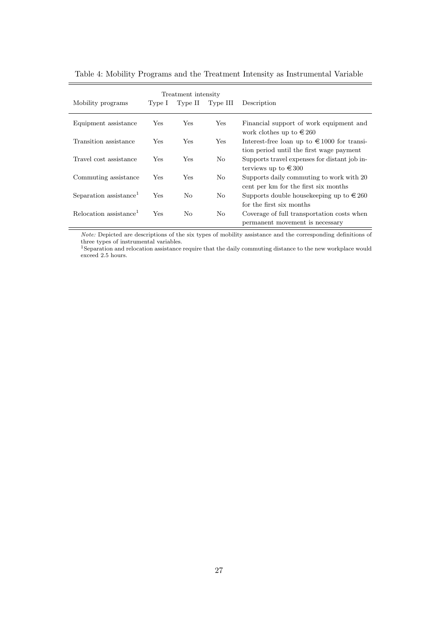| Treatment intensity                |            |                |                |                                                                                             |  |  |
|------------------------------------|------------|----------------|----------------|---------------------------------------------------------------------------------------------|--|--|
| Mobility programs                  | Type I     | Type II        | Type III       | Description                                                                                 |  |  |
| Equipment assistance               | Yes        | Yes            | Yes            | Financial support of work equipment and<br>work clothes up to $\in 260$                     |  |  |
| Transition assistance              | <b>Yes</b> | Yes            | Yes            | Interest-free loan up to $\in$ 1000 for transi-<br>tion period until the first wage payment |  |  |
| Travel cost assistance             | <b>Yes</b> | Yes            | No.            | Supports travel expenses for distant job in-<br>terviews up to $\in$ 300                    |  |  |
| Commuting assistance               | Yes        | Yes            | No             | Supports daily commuting to work with 20<br>cent per km for the first six months            |  |  |
| Separation assistance              | Yes        | N <sub>0</sub> | N <sub>0</sub> | Supports double house keeping up to $\in 260$<br>for the first six months                   |  |  |
| Relocation assistance <sup>1</sup> | Yes        | N <sub>0</sub> | N <sub>0</sub> | Coverage of full transportation costs when<br>permanent movement is necessary               |  |  |

Table 4: Mobility Programs and the Treatment Intensity as Instrumental Variable

÷

Ė

Note: Depicted are descriptions of the six types of mobility assistance and the corresponding definitions of three types of instrumental variables.

<sup>1</sup>Separation and relocation assistance require that the daily commuting distance to the new workplace would exceed 2.5 hours.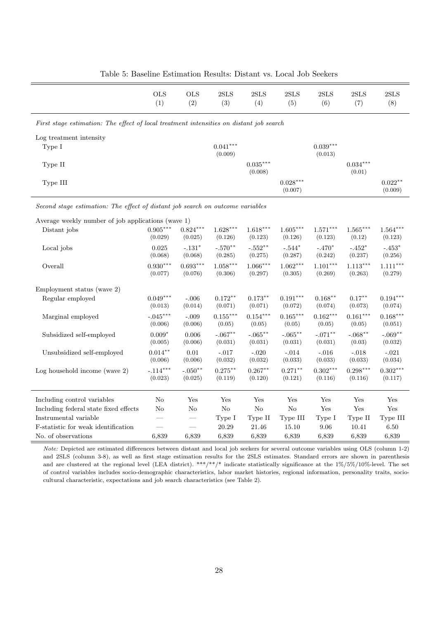|                                                                                         | <b>OLS</b><br>(1)     | <b>OLS</b><br>(2)     | 2SLS<br>(3)           | 2SLS<br>(4)           | $2{\rm SLS}$<br>(5)   | $2{\rm SLS}$<br>(6)   | 2SLS<br>(7)           | 2SLS<br>(8)           |
|-----------------------------------------------------------------------------------------|-----------------------|-----------------------|-----------------------|-----------------------|-----------------------|-----------------------|-----------------------|-----------------------|
|                                                                                         |                       |                       |                       |                       |                       |                       |                       |                       |
| First stage estimation: The effect of local treatment intensities on distant job search |                       |                       |                       |                       |                       |                       |                       |                       |
| Log treatment intensity                                                                 |                       |                       |                       |                       |                       |                       |                       |                       |
| Type I                                                                                  |                       |                       | $0.041***$<br>(0.009) |                       |                       | $0.039***$<br>(0.013) |                       |                       |
| Type II                                                                                 |                       |                       |                       | $0.035***$<br>(0.008) |                       |                       | $0.034***$<br>(0.01)  |                       |
| Type III                                                                                |                       |                       |                       |                       | $0.028***$<br>(0.007) |                       |                       | $0.022**$<br>(0.009)  |
| Second stage estimation: The effect of distant job search on outcome variables          |                       |                       |                       |                       |                       |                       |                       |                       |
| Average weekly number of job applications (wave 1)                                      |                       |                       |                       |                       |                       |                       |                       |                       |
| Distant jobs                                                                            | $0.905***$<br>(0.029) | $0.824***$<br>(0.025) | $1.628***$<br>(0.126) | $1.618***$<br>(0.123) | $1.605***$<br>(0.126) | $1.571***$<br>(0.123) | $1.565***$<br>(0.12)  | $1.564***$<br>(0.123) |
| Local jobs                                                                              | 0.025<br>(0.068)      | $-.131*$<br>(0.068)   | $-.570**$<br>(0.285)  | $-.552**$<br>(0.275)  | $-.544*$<br>(0.287)   | $-.470*$<br>(0.242)   | $-.452*$<br>(0.237)   | $-.453*$<br>(0.256)   |
| Overall                                                                                 | $0.930***$<br>(0.077) | $0.693***$<br>(0.076) | $1.058***$<br>(0.306) | $1.066***$<br>(0.297) | $1.062***$<br>(0.305) | $1.101***$<br>(0.269) | $1.113***$<br>(0.263) | $1.111***$<br>(0.279) |
| Employment status (wave 2)                                                              |                       |                       |                       |                       |                       |                       |                       |                       |
| Regular employed                                                                        | $0.049***$<br>(0.013) | $-.006$<br>(0.014)    | $0.172**$<br>(0.071)  | $0.173***$<br>(0.071) | $0.191***$<br>(0.072) | $0.168***$<br>(0.074) | $0.17***$<br>(0.073)  | $0.194***$<br>(0.074) |
| Marginal employed                                                                       | $-.045***$<br>(0.006) | $-.009$<br>(0.006)    | $0.155***$<br>(0.05)  | $0.154***$<br>(0.05)  | $0.165***$<br>(0.05)  | $0.162***$<br>(0.05)  | $0.161***$<br>(0.05)  | $0.168***$<br>(0.051) |
| Subsidized self-employed                                                                | $0.009*$<br>(0.005)   | 0.006<br>(0.006)      | $-.067**$<br>(0.031)  | $-.065***$<br>(0.031) | $-.065***$<br>(0.031) | $-.071**$<br>(0.031)  | $-.068**$<br>(0.03)   | $-.069**$<br>(0.032)  |
| Unsubsidized self-employed                                                              | $0.014***$<br>(0.006) | 0.01<br>(0.006)       | $-.017$<br>(0.032)    | $-.020$<br>(0.032)    | $-.014$<br>(0.033)    | $-.016$<br>(0.033)    | $-.018$<br>(0.033)    | $-.021$<br>(0.034)    |
| Log household income (wave $2$ )                                                        | $-.114***$<br>(0.023) | $-.050**$<br>(0.025)  | $0.275***$<br>(0.119) | $0.267**$<br>(0.120)  | $0.271***$<br>(0.121) | $0.302***$<br>(0.116) | $0.298***$<br>(0.116) | $0.302***$<br>(0.117) |
| Including control variables                                                             | $\rm No$              | Yes                   | Yes                   | Yes                   | Yes                   | Yes                   | Yes                   | Yes                   |
| Including federal state fixed effects                                                   | No                    | $\rm No$              | $\rm No$              | $\rm No$              | $\rm No$              | $\operatorname{Yes}$  | $\operatorname{Yes}$  | Yes                   |
| Instrumental variable                                                                   |                       |                       | Type I                | Type II               | Type III              | Type I                | Type II               | Type III              |
| F-statistic for weak identification<br>No. of observations                              | 6,839                 | 6,839                 | 20.29<br>6,839        | 21.46<br>6,839        | 15.10<br>6,839        | 9.06<br>6,839         | 10.41<br>6,839        | 6.50<br>6,839         |
|                                                                                         |                       |                       |                       |                       |                       |                       |                       |                       |

Table 5: Baseline Estimation Results: Distant vs. Local Job Seekers

Note: Depicted are estimated differences between distant and local job seekers for several outcome variables using OLS (column 1-2) and 2SLS (column 3-8), as well as first stage estimation results for the 2SLS estimates. Standard errors are shown in parenthesis and are clustered at the regional level (LEA district). \*\*\*/\*\*/\* indicate statistically significance at the  $1\%/5\%/10\%$ -level. The set of control variables includes socio-demographic characteristics, labor market histories, regional information, personality traits, sociocultural characteristic, expectations and job search characteristics (see Table 2).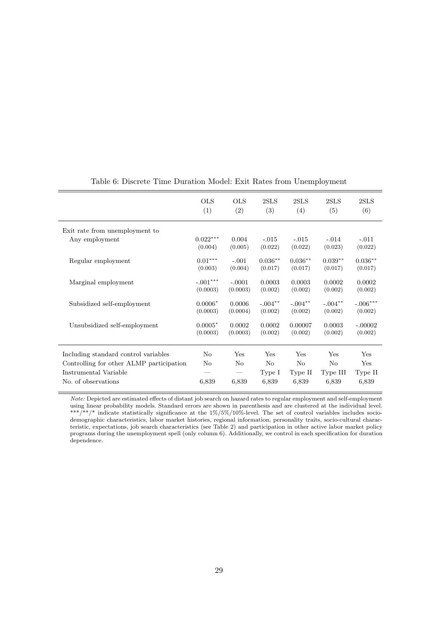|                                                                                                                                  | <b>OLS</b>        | <b>OLS</b>         | 2SLS                                     | 2SLS                          | 2SLS                           | 2SLS                           |
|----------------------------------------------------------------------------------------------------------------------------------|-------------------|--------------------|------------------------------------------|-------------------------------|--------------------------------|--------------------------------|
|                                                                                                                                  | (1)               | (2)                | (3)                                      | (4)                           | (5)                            | (6)                            |
| Exit rate from unemployment to                                                                                                   |                   |                    |                                          |                               |                                |                                |
| Any employment                                                                                                                   | $0.022***$        | 0.004              | $-.015$                                  | $-.015$                       | $-.014$                        | $-.011$                        |
|                                                                                                                                  | (0.004)           | (0.005)            | (0.022)                                  | (0.022)                       | (0.023)                        | (0.022)                        |
| Regular employment                                                                                                               | $0.01***$         | $-.001$            | $0.036^{\ast\ast}$                       | $0.036***$                    | $0.039**$                      | $0.036***$                     |
|                                                                                                                                  | (0.003)           | (0.004)            | (0.017)                                  | (0.017)                       | (0.017)                        | (0.017)                        |
| Marginal employment                                                                                                              | $-.001***$        | $-.0001$           | 0.0003                                   | 0.0003                        | 0.0002                         | 0.0002                         |
|                                                                                                                                  | (0.0003)          | (0.0003)           | (0.002)                                  | (0.002)                       | (0.002)                        | (0.002)                        |
| Subsidized self-employment                                                                                                       | $0.0006*$         | 0.0006             | $-.004**$                                | $-.004**$                     | $-.004**$                      | $-.006***$                     |
|                                                                                                                                  | (0.0003)          | (0.0004)           | (0.002)                                  | (0.002)                       | (0.002)                        | (0.002)                        |
| Unsubsidized self-employment                                                                                                     | $0.0005*$         | 0.0002             | 0.0002                                   | 0.00007                       | 0.0003                         | $-.00002$                      |
|                                                                                                                                  | (0.0003)          | (0.0003)           | (0.002)                                  | (0.002)                       | (0.002)                        | (0.002)                        |
| Including standard control variables<br>Controlling for other ALMP participation<br>Instrumental Variable<br>No. of observations | No<br>No<br>6,839 | Yes<br>No<br>6,839 | Yes<br>N <sub>0</sub><br>Type I<br>6,839 | Yes<br>No<br>Type II<br>6,839 | Yes<br>No<br>Type III<br>6,839 | Yes<br>Yes<br>Type II<br>6,839 |
|                                                                                                                                  |                   |                    |                                          |                               |                                |                                |

## Table 6: Discrete Time Duration Model: Exit Rates from Unemployment

Note: Depicted are estimated effects of distant job search on hazard rates to regular employment and self-employment using linear probability models. Standard errors are shown in parenthesis and are clustered at the individual level. \*\*/\*\*/\* indicate statistically significance at the  $1\%/5\%/10\%$ -level. The set of control variables includes sociodemographic characteristics, labor market histories, regional information, personality traits, socio-cultural characteristic, expectations, job search characteristics (see Table 2) and participation in other active labor market policy programs during the unemployment spell (only column 6). Additionally, we control in each specification for duration dependence.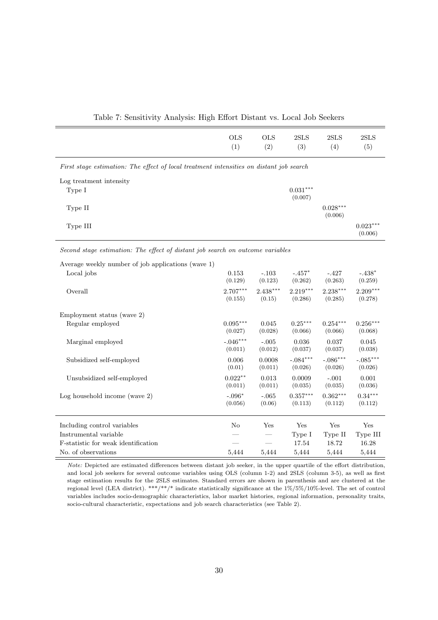| Table 7: Sensitivity Analysis: High Effort Distant vs. Local Job Seekers |  |  |
|--------------------------------------------------------------------------|--|--|
|--------------------------------------------------------------------------|--|--|

|                                                                                         | <b>OLS</b><br>(1) | <b>OLS</b><br>$\rm(2)$ | 2SLS<br>$\left( 3\right)$ | 2SLS<br>$\left( 4\right)$ | 2SLS<br>(5) |
|-----------------------------------------------------------------------------------------|-------------------|------------------------|---------------------------|---------------------------|-------------|
| First stage estimation: The effect of local treatment intensities on distant job search |                   |                        |                           |                           |             |
| Log treatment intensity                                                                 |                   |                        |                           |                           |             |
| Type I                                                                                  |                   |                        | $0.031***$                |                           |             |
|                                                                                         |                   |                        | (0.007)                   |                           |             |
| Type II                                                                                 |                   |                        |                           | $0.028***$                |             |
|                                                                                         |                   |                        |                           | (0.006)                   |             |
| Type III                                                                                |                   |                        |                           |                           | $0.023***$  |

(0.006)

Second stage estimation: The effect of distant job search on outcome variables

| Average weekly number of job applications (wave 1) |            |            |            |            |                |
|----------------------------------------------------|------------|------------|------------|------------|----------------|
| Local jobs                                         | 0.153      | $-.103$    | $-.457*$   | $-.427$    | $-.438*$       |
|                                                    | (0.129)    | (0.123)    | (0.262)    | (0.263)    | (0.259)        |
| Overall                                            | $2.707***$ | $2.438***$ | $2.219***$ | $2.238***$ | $2.209***$     |
|                                                    | (0.155)    | (0.15)     | (0.286)    | (0.285)    | (0.278)        |
| Employment status (wave 2)                         |            |            |            |            |                |
| Regular employed                                   | $0.095***$ | 0.045      | $0.25***$  | $0.254***$ | $0.256***$     |
|                                                    | (0.027)    | (0.028)    | (0.066)    | (0.066)    | (0.068)        |
| Marginal employed                                  | $-.046***$ | $-.005$    | 0.036      | 0.037      | 0.045          |
|                                                    | (0.011)    | (0.012)    | (0.037)    | (0.037)    | (0.038)        |
| Subsidized self-employed                           | 0.006      | 0.0008     | $-.084***$ | $-.086***$ | $-085^{***}\,$ |
|                                                    | (0.01)     | (0.011)    | (0.026)    | (0.026)    | (0.026)        |
| Unsubsidized self-employed                         | $0.022**$  | 0.013      | 0.0009     | $-.001$    | 0.001          |
|                                                    | (0.011)    | (0.011)    | (0.035)    | (0.035)    | (0.036)        |
| Log household income (wave $2$ )                   | $-.096*$   | $-.065$    | $0.357***$ | $0.362***$ | $0.34***$      |
|                                                    | (0.056)    | (0.06)     | (0.113)    | (0.112)    | (0.112)        |
| Including control variables                        | No         | Yes        | Yes        | Yes        | Yes            |
| Instrumental variable                              |            |            | Type I     | Type II    | Type III       |
| F-statistic for weak identification                |            |            | 17.54      | 18.72      | 16.28          |
| No. of observations                                | 5,444      | 5,444      | 5,444      | 5,444      | 5,444          |

Note: Depicted are estimated differences between distant job seeker, in the upper quartile of the effort distribution, and local job seekers for several outcome variables using OLS (column 1-2) and 2SLS (column 3-5), as well as first stage estimation results for the 2SLS estimates. Standard errors are shown in parenthesis and are clustered at the regional level (LEA district). \*\*\*/\*\*/\* indicate statistically significance at the 1%/5%/10%-level. The set of control variables includes socio-demographic characteristics, labor market histories, regional information, personality traits, socio-cultural characteristic, expectations and job search characteristics (see Table 2).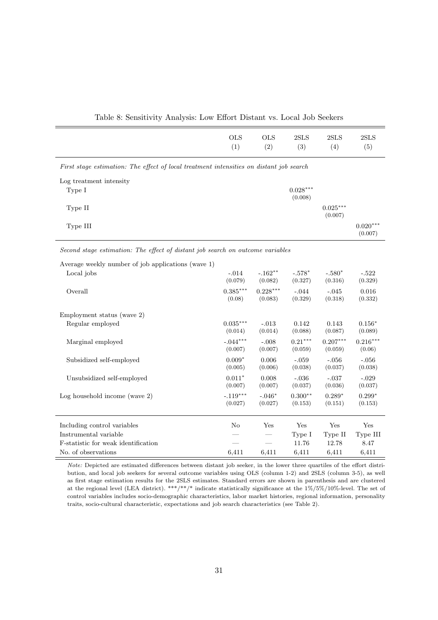|                                                                                         | <b>OLS</b><br>(1) | <b>OLS</b><br>(2) | 2SLS<br>(3) | 2SLS<br>(4) | 2SLS<br>(5) |
|-----------------------------------------------------------------------------------------|-------------------|-------------------|-------------|-------------|-------------|
| First stage estimation: The effect of local treatment intensities on distant job search |                   |                   |             |             |             |
| Log treatment intensity                                                                 |                   |                   |             |             |             |

| $\sim$<br>$\cdot$<br>Type I | $0.028***$<br>(0.008) |
|-----------------------------|-----------------------|
| Type II                     | $0.025***$<br>(0.007) |
| Type III                    | $0.020***$<br>(0.007) |

Second stage estimation: The effect of distant job search on outcome variables

| Average weekly number of job applications (wave 1) |                        |            |           |            |            |
|----------------------------------------------------|------------------------|------------|-----------|------------|------------|
| Local jobs                                         | $-.014$                | $-.162**$  | $-.578*$  | $-.580*$   | $-.522$    |
|                                                    | (0.079)                | (0.082)    | (0.327)   | (0.316)    | (0.329)    |
| Overall                                            | $0.385^{\ast\ast\ast}$ | $0.228***$ | $-.044$   | $-.045$    | 0.016      |
|                                                    | (0.08)                 | (0.083)    | (0.329)   | (0.318)    | (0.332)    |
| Employment status (wave 2)                         |                        |            |           |            |            |
| Regular employed                                   | $0.035***$             | $-.013$    | 0.142     | 0.143      | $0.156*$   |
|                                                    | (0.014)                | (0.014)    | (0.088)   | (0.087)    | (0.089)    |
| Marginal employed                                  | $-.044***$             | $-.008$    | $0.21***$ | $0.207***$ | $0.216***$ |
|                                                    | (0.007)                | (0.007)    | (0.059)   | (0.059)    | (0.06)     |
| Subsidized self-employed                           | $0.009*$               | 0.006      | $-.059$   | $-.056$    | $-.056$    |
|                                                    | (0.005)                | (0.006)    | (0.038)   | (0.037)    | (0.038)    |
| Unsubsidized self-employed                         | $0.011*$               | 0.008      | $-.036$   | $-.037$    | $-.029$    |
|                                                    | (0.007)                | (0.007)    | (0.037)   | (0.036)    | (0.037)    |
| Log household income (wave $2$ )                   | $-.119***$             | $-.046*$   | $0.300**$ | $0.289*$   | $0.299*$   |
|                                                    | (0.027)                | (0.027)    | (0.153)   | (0.151)    | (0.153)    |
| Including control variables                        | No                     | Yes        | Yes       | Yes        | Yes        |
| Instrumental variable                              |                        |            | Type I    | Type II    | Type III   |
| F-statistic for weak identification                |                        |            | 11.76     | 12.78      | 8.47       |
| No. of observations                                | 6,411                  | 6,411      | 6,411     | 6,411      | 6,411      |

Note: Depicted are estimated differences between distant job seeker, in the lower three quartiles of the effort distribution, and local job seekers for several outcome variables using OLS (column 1-2) and 2SLS (column 3-5), as well as first stage estimation results for the 2SLS estimates. Standard errors are shown in parenthesis and are clustered at the regional level (LEA district). \*\*\*/\*\*/\* indicate statistically significance at the 1%/5%/10%-level. The set of control variables includes socio-demographic characteristics, labor market histories, regional information, personality traits, socio-cultural characteristic, expectations and job search characteristics (see Table 2).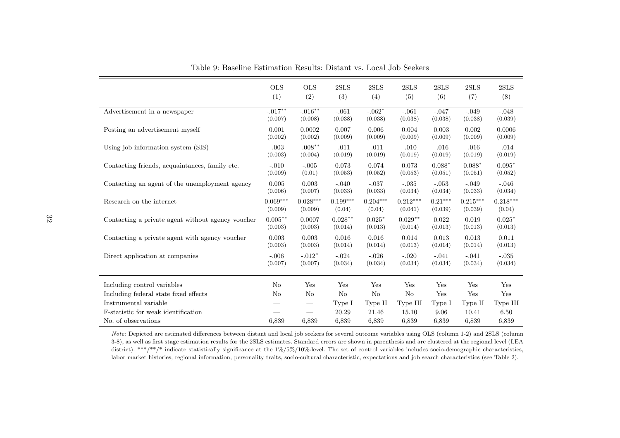|                                                   | <b>OLS</b>     | <b>OLS</b>                      | 2SLS                   | 2SLS            | 2SLS       | 2SLS                  | 2SLS       | 2SLS       |
|---------------------------------------------------|----------------|---------------------------------|------------------------|-----------------|------------|-----------------------|------------|------------|
|                                                   | (1)            | (2)                             | (3)                    | (4)             | (5)        | (6)                   | (7)        | (8)        |
| Advertisement in a newspaper                      | $-.017**$      | $-.016***$                      | $-.061$                | $-.062*$        | $-.061$    | $-.047$               | $-.049$    | $-.048$    |
|                                                   | (0.007)        | (0.008)                         | (0.038)                | (0.038)         | (0.038)    | (0.038)               | (0.038)    | (0.039)    |
| Posting an advertisement myself                   | 0.001          | 0.0002                          | 0.007                  | 0.006           | 0.004      | 0.003                 | 0.002      | 0.0006     |
|                                                   | (0.002)        | (0.002)                         | (0.009)                | (0.009)         | (0.009)    | (0.009)               | (0.009)    | (0.009)    |
| Using job information system (SIS)                | $-.003$        | $-.008**$                       | $-.011$                | $-.011$         | $-.010$    | $-.016$               | $-.016$    | $-.014$    |
|                                                   | (0.003)        | (0.004)                         | (0.019)                | (0.019)         | (0.019)    | (0.019)               | (0.019)    | (0.019)    |
| Contacting friends, acquaintances, family etc.    | $-.010$        | $-.005$                         | 0.073                  | 0.074           | 0.073      | $0.088*$              | $0.088*$   | $0.095*$   |
|                                                   | (0.009)        | (0.01)                          | (0.053)                | (0.052)         | (0.053)    | (0.051)               | (0.051)    | (0.052)    |
| Contacting an agent of the unemployment agency    | 0.005          | 0.003                           | $-.040$                | $-.037$         | $-.035$    | $-.053$               | $-.049$    | $-.046$    |
|                                                   | (0.006)        | (0.007)                         | (0.033)                | (0.033)         | (0.034)    | (0.034)               | (0.033)    | (0.034)    |
| Research on the internet                          | $0.069***$     | $0.028^{\ast\ast\ast}$          | $0.199^{\ast\ast\ast}$ | $0.204^{***}\,$ | $0.212***$ | $0.21^{\ast\ast\ast}$ | $0.215***$ | $0.218***$ |
|                                                   | (0.009)        | (0.009)                         | (0.04)                 | (0.04)          | (0.041)    | (0.039)               | (0.039)    | (0.04)     |
| Contacting a private agent without agency voucher | $0.005***$     | 0.0007                          | $0.028**$              | $0.025*$        | $0.029**$  | 0.022                 | 0.019      | $0.025*$   |
|                                                   | (0.003)        | (0.003)                         | (0.014)                | (0.013)         | (0.014)    | (0.013)               | (0.013)    | (0.013)    |
| Contacting a private agent with agency voucher    | 0.003          | 0.003                           | 0.016                  | 0.016           | 0.014      | 0.013                 | 0.013      | 0.011      |
|                                                   | (0.003)        | (0.003)                         | (0.014)                | (0.014)         | (0.013)    | (0.014)               | (0.014)    | (0.013)    |
| Direct application at companies                   | $-.006$        | $-.012*$                        | $-.024$                | $-.026$         | $-.020$    | $-.041$               | $-.041$    | $-.035$    |
|                                                   | (0.007)        | (0.007)                         | (0.034)                | (0.034)         | (0.034)    | (0.034)               | (0.034)    | (0.034)    |
| Including control variables                       | N <sub>o</sub> | Yes                             | Yes                    | Yes             | Yes        | Yes                   | Yes        | Yes        |
| Including federal state fixed effects             | No             | No                              | No                     | N <sub>o</sub>  | No         | Yes                   | Yes        | Yes        |
| Instrumental variable                             |                | $\hspace{0.1mm}-\hspace{0.1mm}$ | Type I                 | Type II         | Type III   | Type I                | Type II    | Type III   |
| F-statistic for weak identification               |                | $\overline{\phantom{m}}$        | 20.29                  | 21.46           | 15.10      | 9.06                  | 10.41      | 6.50       |
| No. of observations                               | 6,839          | 6,839                           | 6,839                  | 6,839           | 6,839      | 6,839                 | 6,839      | 6,839      |

Table 9: Baseline Estimation Results: Distant vs. Local Job Seekers

Note: Depicted are estimated differences between distant and local job seekers for several outcome variables using OLS (column 1-2) and 2SLS (column 3-8), as well as first stage estimation results for the 2SLS estimates. Standard errors are shown in parenthesis and are clustered at the regional level (LEA district). \*\*\*/\*\*/\* indicate statistically significance at the 1%/5%/10%-level. The set of control variables includes socio-demographic characteristics,labor market histories, regional information, personality traits, socio-cultural characteristic, expectations and job search characteristics (see Table 2).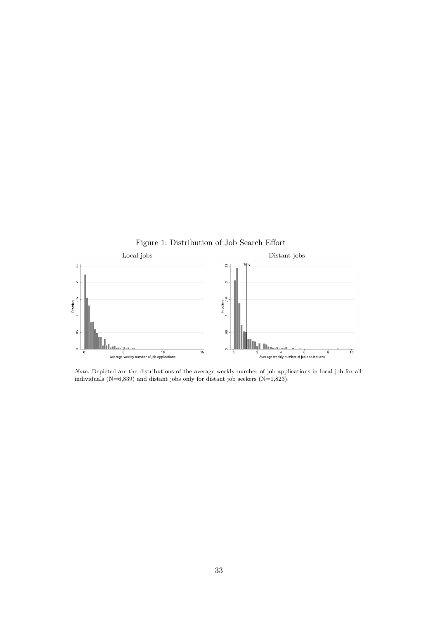

Note: Depicted are the distributions of the average weekly number of job applications in local job for all individuals ( $N=6,839$ ) and distant jobs only for distant job seekers ( $N=1,823$ ).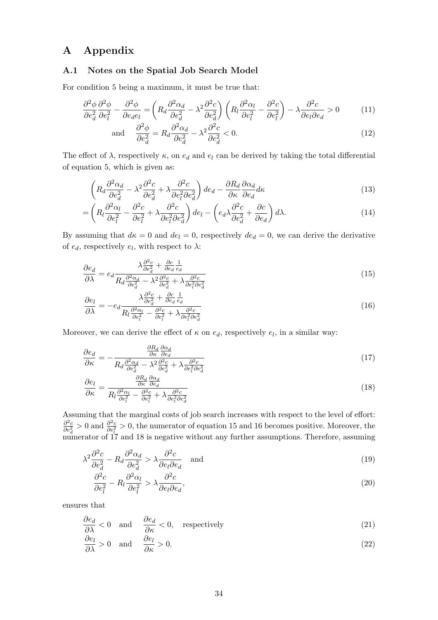# A Appendix

### A.1 Notes on the Spatial Job Search Model

For condition 5 being a maximum, it must be true that:

$$
\frac{\partial^2 \phi}{\partial e_d^2} \frac{\partial^2 \phi}{\partial e_l^2} - \frac{\partial^2 \phi}{\partial e_d e_l} = \left( R_d \frac{\partial^2 \alpha_d}{\partial e_d^2} - \lambda^2 \frac{\partial^2 c}{\partial e_d^2} \right) \left( R_l \frac{\partial^2 \alpha_l}{\partial e_l^2} - \frac{\partial^2 c}{\partial e_l^2} \right) - \lambda \frac{\partial^2 c}{\partial e_l \partial e_d} > 0 \tag{11}
$$

and 
$$
\frac{\partial^2 \phi}{\partial e_d^2} = R_d \frac{\partial^2 \alpha_d}{\partial e_d^2} - \lambda^2 \frac{\partial^2 c}{\partial e_d^2} < 0. \tag{12}
$$

The effect of  $\lambda$ , respectively  $\kappa$ , on  $e_d$  and  $e_l$  can be derived by taking the total differential of equation 5, which is given as:

$$
\left(R_d \frac{\partial^2 \alpha_d}{\partial e_d^2} - \lambda^2 \frac{\partial^2 c}{\partial e_d^2} + \lambda \frac{\partial^2 c}{\partial e_l^2 \partial e_d^2}\right) de_d - \frac{\partial R_d}{\partial \kappa} \frac{\partial \alpha_d}{\partial e_d} d\kappa\tag{13}
$$

$$
= \left(R_l \frac{\partial^2 \alpha_l}{\partial e_l^2} - \frac{\partial^2 c}{\partial e_l^2} + \lambda \frac{\partial^2 c}{\partial e_l^2 \partial e_d^2}\right) de_l - \left(e_d \lambda \frac{\partial^2 c}{\partial e_d^2} + \frac{\partial c}{\partial e_d}\right) d\lambda. \tag{14}
$$

By assuming that  $d\kappa = 0$  and  $de_l = 0$ , respectively  $de_d = 0$ , we can derive the derivative of  $e_d$ , respectively  $e_l$ , with respect to  $\lambda$ :

$$
\frac{\partial e_d}{\partial \lambda} = e_d \frac{\lambda \frac{\partial^2 c}{\partial e_d^2} + \frac{\partial c}{\partial e_d} \frac{1}{e_d}}{R_d \frac{\partial^2 \alpha_d}{\partial e_d^2} - \lambda^2 \frac{\partial^2 c}{\partial e_d^2} + \lambda \frac{\partial^2 c}{\partial e_l^2 \partial e_d^2}}\tag{15}
$$

$$
\frac{\partial e_l}{\partial \lambda} = -e_d \frac{\lambda \frac{\partial^2 c}{\partial e_d^2} + \frac{\partial c}{\partial e_d} \frac{1}{e_d}}{R_l \frac{\partial^2 \alpha_l}{\partial e_l^2} - \frac{\partial^2 c}{\partial e_l^2} + \lambda \frac{\partial^2 c}{\partial e_l^2 \partial e_d^2}}\tag{16}
$$

Moreover, we can derive the effect of  $\kappa$  on  $e_d$ , respectively  $e_l$ , in a similar way:

$$
\frac{\partial e_d}{\partial \kappa} = -\frac{\frac{\partial R_d}{\partial \kappa} \frac{\partial \alpha_d}{\partial e_d}}{R_d \frac{\partial^2 \alpha_d}{\partial e_d^2} - \lambda^2 \frac{\partial^2 c}{\partial e_d^2} + \lambda \frac{\partial^2 c}{\partial e_l^2 \partial e_d^2}}
$$
(17)

$$
\frac{\partial e_l}{\partial \kappa} = \frac{\frac{\partial R_d}{\partial \kappa} \frac{\partial \alpha_d}{\partial e_d}}{R_l \frac{\partial^2 \alpha_l}{\partial e_l^2} - \frac{\partial^2 c}{\partial e_l^2} + \lambda \frac{\partial^2 c}{\partial e_l^2 \partial e_d^2}}\tag{18}
$$

Assuming that the marginal costs of job search increases with respect to the level of effort:  $\frac{\partial^2 c}{\partial e_d^2} > 0$  and  $\frac{\partial^2 c}{\partial e_d^2} > 0$ , the numerator of equation 15 and 16 becomes positive. Moreover, the numerator of 17 and 18 is negative without any further assumptions. Therefore, assuming

$$
\lambda^2 \frac{\partial^2 c}{\partial e_d^2} - R_d \frac{\partial^2 \alpha_d}{\partial e_d^2} > \lambda \frac{\partial^2 c}{\partial e_l \partial e_d} \quad \text{and} \tag{19}
$$

$$
\frac{\partial^2 c}{\partial e_l^2} - R_l \frac{\partial^2 \alpha_l}{\partial e_l^2} > \lambda \frac{\partial^2 c}{\partial e_l \partial e_d},\tag{20}
$$

ensures that

$$
\frac{\partial e_d}{\partial \lambda} < 0 \quad \text{and} \quad \frac{\partial e_d}{\partial \kappa} < 0, \quad \text{respectively} \tag{21}
$$

$$
\frac{\partial e_l}{\partial \lambda} > 0 \quad \text{and} \quad \frac{\partial e_l}{\partial \kappa} > 0. \tag{22}
$$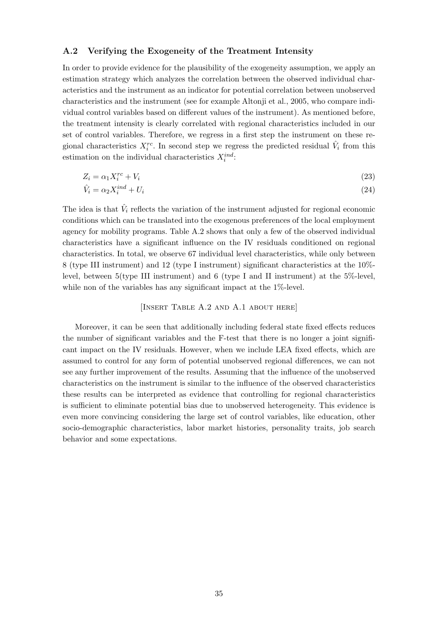#### A.2 Verifying the Exogeneity of the Treatment Intensity

In order to provide evidence for the plausibility of the exogeneity assumption, we apply an estimation strategy which analyzes the correlation between the observed individual characteristics and the instrument as an indicator for potential correlation between unobserved characteristics and the instrument (see for example Altonji et al., 2005, who compare individual control variables based on different values of the instrument). As mentioned before, the treatment intensity is clearly correlated with regional characteristics included in our set of control variables. Therefore, we regress in a first step the instrument on these regional characteristics  $X_i^{rc}$ . In second step we regress the predicted residual  $\hat{V}_i$  from this estimation on the individual characteristics  $X_i^{ind}$ :

$$
Z_i = \alpha_1 X_i^{rc} + V_i \tag{23}
$$

$$
\hat{V}_i = \alpha_2 X_i^{ind} + U_i \tag{24}
$$

The idea is that  $\hat{V}_i$  reflects the variation of the instrument adjusted for regional economic conditions which can be translated into the exogenous preferences of the local employment agency for mobility programs. Table A.2 shows that only a few of the observed individual characteristics have a significant influence on the IV residuals conditioned on regional characteristics. In total, we observe 67 individual level characteristics, while only between 8 (type III instrument) and 12 (type I instrument) significant characteristics at the 10% level, between 5(type III instrument) and 6 (type I and II instrument) at the 5%-level, while non of the variables has any significant impact at the 1%-level.

#### [INSERT TABLE A.2 AND A.1 ABOUT HERE]

Moreover, it can be seen that additionally including federal state fixed effects reduces the number of significant variables and the F-test that there is no longer a joint significant impact on the IV residuals. However, when we include LEA fixed effects, which are assumed to control for any form of potential unobserved regional differences, we can not see any further improvement of the results. Assuming that the influence of the unobserved characteristics on the instrument is similar to the influence of the observed characteristics these results can be interpreted as evidence that controlling for regional characteristics is sufficient to eliminate potential bias due to unobserved heterogeneity. This evidence is even more convincing considering the large set of control variables, like education, other socio-demographic characteristics, labor market histories, personality traits, job search behavior and some expectations.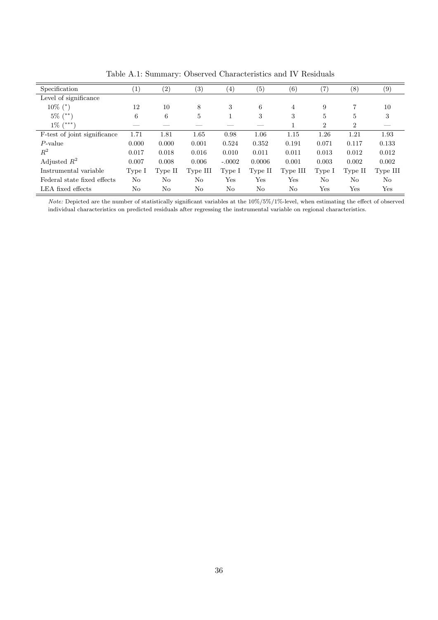| Specification                | $\left( 1\right)$ | $\left( 2\right)$ | (3)      | $\left( 4\right)$ | (5)     | (6)            | $\left( 7\right)$ | (8)            | (9)          |
|------------------------------|-------------------|-------------------|----------|-------------------|---------|----------------|-------------------|----------------|--------------|
| Level of significance        |                   |                   |          |                   |         |                |                   |                |              |
| $10\%$ (*)                   | 12                | 10                | 8        | 3                 | 6       | $\overline{4}$ | 9                 | 7              | 10           |
| $5\%$ (**)                   | 6                 | 6                 | 5        | 1                 | 3       | 3              | $\overline{5}$    | 5              | 3            |
| $1\%$ (***)                  |                   |                   |          |                   |         |                | $\overline{2}$    | $\overline{2}$ |              |
| F-test of joint significance | 1.71              | 1.81              | 1.65     | 0.98              | 1.06    | 1.15           | 1.26              | 1.21           | 1.93         |
| $P$ -value                   | 0.000             | 0.000             | 0.001    | 0.524             | 0.352   | 0.191          | 0.071             | 0.117          | 0.133        |
| $R^2$                        | 0.017             | 0.018             | 0.016    | 0.010             | 0.011   | 0.011          | 0.013             | 0.012          | 0.012        |
| Adjusted $R^2$               | 0.007             | 0.008             | 0.006    | $-.0002$          | 0.0006  | 0.001          | 0.003             | 0.002          | 0.002        |
| Instrumental variable        | Type I            | Type II           | Type III | Type I            | Type II | Type III       | Type I            | Type II        | Type III     |
| Federal state fixed effects  | No                | No                | No       | Yes               | Yes     | Yes            | No                | No             | No           |
| LEA fixed effects            | No                | No                | No       | No                | No      | No             | Yes               | Yes            | $_{\rm Yes}$ |

Table A.1: Summary: Observed Characteristics and IV Residuals

Note: Depicted are the number of statistically significant variables at the 10%/5%/1%-level, when estimating the effect of observed individual characteristics on predicted residuals after regressing the instrumental variable on regional characteristics.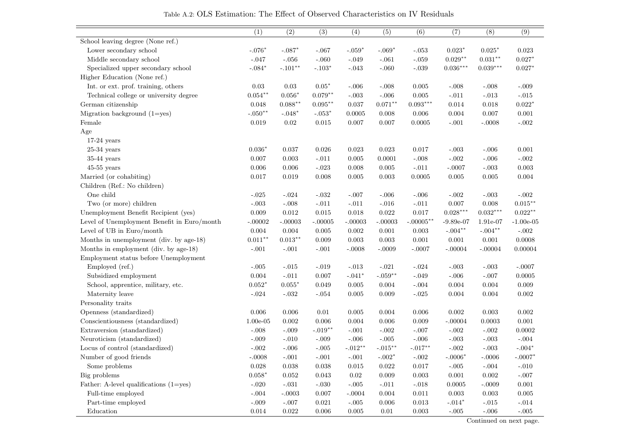|                                             | (1)            | (2)                | (3)         | (4)         | (5)         | (6)         | (7)         | (8)                | (9)            |
|---------------------------------------------|----------------|--------------------|-------------|-------------|-------------|-------------|-------------|--------------------|----------------|
| School leaving degree (None ref.)           |                |                    |             |             |             |             |             |                    |                |
| Lower secondary school                      | $-.076*$       | $-.087*$           | $-.067$     | $-.059*$    | $-.069*$    | $-.053$     | $0.023*$    | $0.025*$           | 0.023          |
| Middle secondary school                     | $-.047$        | $-.056$            | $-.060$     | $-.049$     | $-.061$     | $-.059$     | $0.029**$   | $0.031^{\ast\ast}$ | $0.027*$       |
| Specialized upper secondary school          | $-.084*$       | $-.101**$          | $-.103*$    | $-.043$     | $-.060$     | $-.039$     | $0.036***$  | $0.039***$         | $0.027*$       |
| Higher Education (None ref.)                |                |                    |             |             |             |             |             |                    |                |
| Int. or ext. prof. training, others         | 0.03           | $\rm 0.03$         | $0.05*$     | $-.006$     | $-.008$     | 0.005       | $-.008$     | $-.008$            | $-.009$        |
| Technical college or university degree      | $0.054***$     | $0.056*$           | $0.079**$   | $-.003$     | $-.006$     | $0.005\,$   | $-.011$     | $-.013$            | $\text{-}.015$ |
| German citizenship                          | 0.048          | $0.088**$          | $0.095***$  | 0.037       | $0.071**$   | $0.093***$  | $0.014\,$   | 0.018              | $0.022*$       |
| Migration background $(1 = yes)$            | $-.050**$      | $-.048*$           | $-.053*$    | 0.0005      | 0.008       | 0.006       | $0.004\,$   | 0.007              | 0.001          |
| Female                                      | 0.019          | $\rm 0.02$         | 0.015       | 0.007       | 0.007       | 0.0005      | $-.001$     | $-.0008$           | $-.002$        |
| Age                                         |                |                    |             |             |             |             |             |                    |                |
| $17-24$ years                               |                |                    |             |             |             |             |             |                    |                |
| $25-34$ years                               | $0.036*$       | 0.037              | 0.026       | 0.023       | 0.023       | 0.017       | $-.003$     | $-.006$            | 0.001          |
| $35-44$ years                               | $0.007\,$      | 0.003              | $-.011$     | 0.005       | 0.0001      | $-.008$     | $-.002$     | $-.006$            | $-.002$        |
| $45-55$ years                               | $0.006\,$      | 0.006              | $-.023$     | 0.008       | 0.005       | $-.011$     | $-.0007$    | $-.003$            | 0.003          |
| Married (or cohabiting)                     | $0.017\,$      | 0.019              | 0.008       | 0.005       | 0.003       | 0.0005      | 0.005       | $\,0.005\,$        | 0.004          |
| Children (Ref.: No children)                |                |                    |             |             |             |             |             |                    |                |
| One child                                   | $-.025$        | $-.024$            | $-.032$     | $-.007$     | $-.006$     | $-.006$     | $-.002$     | $-.003$            | $-.002$        |
| Two (or more) children                      | $-.003$        | $-.008$            | $-.011$     | $-.011$     | $-.016$     | $-.011$     | $0.007\,$   | 0.008              | $0.015***$     |
| Unemployment Benefit Recipient (yes)        | $0.009\,$      | 0.012              | $\,0.015\,$ | 0.018       | $\,0.022\,$ | 0.017       | $0.028***$  | $0.032***$         | $0.022**$      |
| Level of Unemployment Benefit in Euro/month | $-.00002$      | $-.00003$          | $-.00005$   | $-.00003$   | $-.00003$   | $-.00005**$ | $-9.89e-07$ | 1.91e-07           | $-1.00e-05$    |
| Level of UB in Euro/month                   | 0.004          | $0.004\,$          | 0.005       | 0.002       | 0.001       | $\,0.003\,$ | $-.004**$   | $-.004**$          | $-.002$        |
| Months in unemployment (div. by age-18)     | $0.011**$      | $0.013^{\ast\ast}$ | 0.009       | 0.003       | $\,0.003\,$ | 0.001       | $0.001\,$   | 0.001              | 0.0008         |
| Months in employment (div. by age-18)       | $-.001$        | $-.001$            | $-.001$     | $-.0008$    | $-.0009$    | $-.0007$    | $-.00004$   | $-.00004$          | 0.00004        |
| Employment status before Unemployment       |                |                    |             |             |             |             |             |                    |                |
| Employed (ref.)                             | $-.005$        | $-.015$            | $-.019$     | $-.013$     | $-.021$     | $-.024$     | $-.003$     | $-.003$            | $-.0007$       |
| Subsidized employment                       | $0.004\,$      | $-.011$            | 0.007       | $-.041*$    | $-.059**$   | $-.049$     | $-.006$     | $-.007$            | 0.0005         |
| School, apprentice, military, etc.          | $0.052*$       | $0.055*$           | 0.049       | 0.005       | 0.004       | $-.004$     | $0.004\,$   | 0.004              | $0.009\,$      |
| Maternity leave                             | $-.024$        | $-.032$            | $-.054$     | 0.005       | 0.009       | $-.025$     | 0.004       | 0.004              | $\,0.002\,$    |
| Personality traits                          |                |                    |             |             |             |             |             |                    |                |
| Openness (standardized)                     | 0.006          | 0.006              | 0.01        | 0.005       | 0.004       | 0.006       | 0.002       | 0.003              | $0.002\,$      |
| Conscientiousness (standardized)            | $1.00e-05$     | $\rm 0.002$        | 0.006       | 0.004       | 0.006       | 0.009       | $-.00004$   | 0.0003             | $0.001\,$      |
| Extraversion (standardized)                 | $-.008$        | $-.009$            | $-.019**$   | $-.001$     | $-.002$     | $-.007$     | $-.002$     | $-.002$            | 0.0002         |
| Neuroticism (standardized)                  | $-.009$        | $-.010$            | $-.009$     | $-.006$     | $-.005$     | $-.006$     | $-.003$     | $-.003$            | $-.004$        |
| Locus of control (standardized)             | $-.002$        | $-.006$            | $-.005$     | $-.012**$   | $-.015***$  | $-.017**$   | $-.002$     | $-.003$            | $-.004*$       |
| Number of good friends                      | $-.0008$       | $-.001$            | $-.001$     | $-.001$     | $-.002*$    | $-.002$     | $-.0006*$   | $-.0006$           | $-.0007*$      |
| Some problems                               | 0.028          | 0.038              | $\,0.038\,$ | $\,0.015\,$ | $\,0.022\,$ | 0.017       | $-.005$     | $-.004$            | $-.010$        |
| Big problems                                | $0.058^{\ast}$ | 0.052              | 0.043       | 0.02        | $\,0.009\,$ | 0.003       | 0.001       | 0.002              | $-.007$        |
| Father: A-level qualifications $(1 = yes)$  | $-.020$        | $-.031$            | $-.030$     | $-.005$     | $-.011$     | $-.018$     | 0.0005      | $-.0009$           | $0.001\,$      |
| Full-time employed                          | $-.004$        | $-.0003$           | $0.007\,$   | $-.0004$    | 0.004       | 0.011       | $0.003\,$   | 0.003              | $0.005\,$      |
| Part-time employed                          | $-.009$        | $-.007$            | $\,0.021\,$ | $-.005$     | $0.006\,$   | $\,0.013\,$ | $-.014*$    | $-.015$            | $-.014$        |
| ${\bf Education}$                           | $0.014\,$      | $\,0.022\,$        | $0.006\,$   | 0.005       | $0.01\,$    | $\,0.003\,$ | $-.005$     | $-.006$            | $-.005$        |

Table A.2: OLS Estimation: The Effect of Observed Characteristics on IV Residuals

Continued on next page.